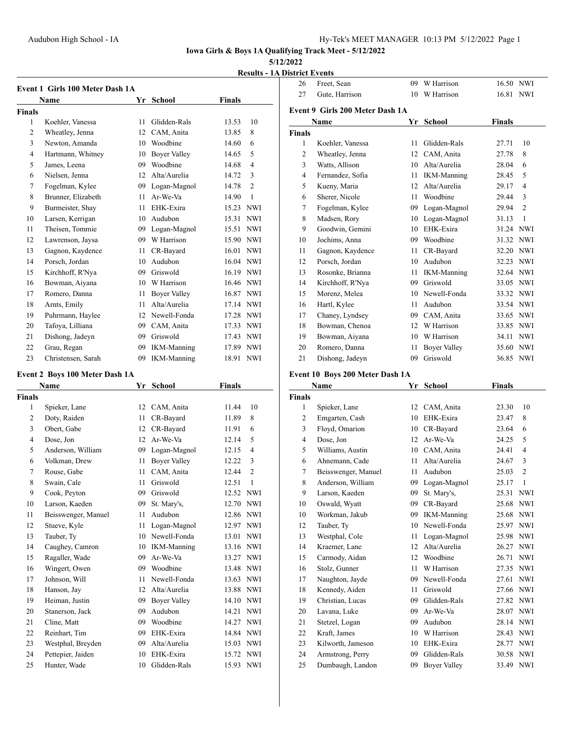Freet, Sean 09 W Harrison 16.50 NWI

**Iowa Girls & Boys 1A Qualifying Track Meet - 5/12/2022**

### **5/12/2022**

**Results - 1A District Events**

|                | Name               | Yr | School              | Finals    |                |
|----------------|--------------------|----|---------------------|-----------|----------------|
| Finals         |                    |    |                     |           |                |
| 1              | Koehler, Vanessa   | 11 | Glidden-Rals        | 13.53     | 10             |
| $\overline{2}$ | Wheatley, Jenna    | 12 | CAM, Anita          | 13.85     | 8              |
| 3              | Newton, Amanda     | 10 | Woodbine            | 14.60     | 6              |
| $\overline{4}$ | Hartmann, Whitney  | 10 | Boyer Valley        | 14.65     | 5              |
| 5              | James, Leena       | 09 | Woodbine            | 14.68     | $\overline{4}$ |
| 6              | Nielsen, Jenna     | 12 | Alta/Aurelia        | 14.72     | 3              |
| 7              | Fogelman, Kylee    | 09 | Logan-Magnol        | 14.78     | $\overline{2}$ |
| 8              | Brunner, Elizabeth | 11 | Ar-We-Va            | 14.90     | $\mathbf{1}$   |
| 9              | Burmeister, Shay   | 11 | EHK-Exira           | 15.23 NWI |                |
| 10             | Larsen, Kerrigan   | 10 | Audubon             | 15.31     | <b>NWI</b>     |
| 11             | Theisen, Tommie    | 09 | Logan-Magnol        | 15.51     | <b>NWI</b>     |
| 12             | Lawrenson, Jaysa   | 09 | W Harrison          | 15.90     | <b>NWI</b>     |
| 13             | Gagnon, Kaydence   | 11 | CR-Bayard           | 16.01     | <b>NWI</b>     |
| 14             | Porsch, Jordan     | 10 | Audubon             | 16.04 NWI |                |
| 15             | Kirchhoff, R'Nya   | 09 | Griswold            | 16.19 NWI |                |
| 16             | Bowman, Aiyana     | 10 | W Harrison          | 16.46 NWI |                |
| 17             | Romero, Danna      | 11 | <b>Bover Valley</b> | 16.87     | <b>NWI</b>     |
| 18             | Arnts, Emily       | 11 | Alta/Aurelia        | 17.14     | <b>NWI</b>     |
| 19             | Puhrmann, Haylee   | 12 | Newell-Fonda        | 17.28     | <b>NWI</b>     |
| 20             | Tafova, Lilliana   | 09 | CAM, Anita          | 17.33     | <b>NWI</b>     |
| 21             | Dishong, Jadeyn    | 09 | Griswold            | 17.43     | <b>NWI</b>     |
| 22             | Grau, Regan        | 09 | <b>IKM-Manning</b>  | 17.89     | <b>NWI</b>     |
| 23             | Christensen, Sarah | 09 | <b>IKM-Manning</b>  | 18.91     | <b>NWI</b>     |

### **Event 2 Boys 100 Meter Dash 1A**

|                | Name                | Yr | <b>School</b>       | Finals |                |
|----------------|---------------------|----|---------------------|--------|----------------|
| <b>Finals</b>  |                     |    |                     |        |                |
| 1              | Spieker, Lane       | 12 | CAM, Anita          | 11.44  | 10             |
| $\overline{2}$ | Doty, Raiden        | 11 | CR-Bayard           | 11.89  | 8              |
| 3              | Obert, Gabe         | 12 | CR-Bayard           | 11.91  | 6              |
| 4              | Dose, Jon           | 12 | Ar-We-Va            | 12.14  | 5              |
| 5              | Anderson, William   | 09 | Logan-Magnol        | 12.15  | 4              |
| 6              | Volkman, Drew       | 11 | <b>Bover Valley</b> | 12.22  | 3              |
| 7              | Rouse, Gabe         | 11 | CAM, Anita          | 12.44  | $\overline{c}$ |
| 8              | Swain, Cale         | 11 | Griswold            | 12.51  | $\mathbf{1}$   |
| 9              | Cook, Peyton        | 09 | Griswold            | 12.52  | <b>NWI</b>     |
| 10             | Larson, Kaeden      | 09 | St. Mary's,         | 12.70  | <b>NWI</b>     |
| 11             | Beisswenger, Manuel | 11 | Audubon             | 12.86  | <b>NWI</b>     |
| 12             | Stueve, Kyle        | 11 | Logan-Magnol        | 12.97  | <b>NWI</b>     |
| 13             | Tauber, Ty          | 10 | Newell-Fonda        | 13.01  | <b>NWI</b>     |
| 14             | Caughey, Camron     | 10 | <b>IKM-Manning</b>  | 13.16  | <b>NWI</b>     |
| 15             | Ragaller, Wade      | 09 | Ar-We-Va            | 13.27  | <b>NWI</b>     |
| 16             | Wingert, Owen       | 09 | Woodbine            | 13.48  | <b>NWI</b>     |
| 17             | Johnson, Will       | 11 | Newell-Fonda        | 13.63  | <b>NWI</b>     |
| 18             | Hanson, Jay         | 12 | Alta/Aurelia        | 13.88  | <b>NWI</b>     |
| 19             | Heiman, Justin      | 09 | <b>Bover Valley</b> | 14.10  | <b>NWI</b>     |
| 20             | Stanerson, Jack     | 09 | Audubon             | 14.21  | <b>NWI</b>     |
| 21             | Cline, Matt         | 09 | Woodbine            | 14.27  | <b>NWI</b>     |
| 22             | Reinhart, Tim       | 09 | EHK-Exira           | 14.84  | <b>NWI</b>     |
| 23             | Westphal, Breyden   | 09 | Alta/Aurelia        | 15.03  | <b>NWI</b>     |
| 24             | Pettepier, Jaiden   | 10 | EHK-Exira           | 15.72  | <b>NWI</b>     |
| 25             | Hunter, Wade        | 10 | Glidden-Rals        | 15.93  | <b>NWI</b>     |

| 27             | Gute, Harrison                  | 10 | W Harrison         | 16.81         | <b>NWI</b>     |
|----------------|---------------------------------|----|--------------------|---------------|----------------|
|                | Event 9 Girls 200 Meter Dash 1A |    |                    |               |                |
|                | Name                            | Yr | <b>School</b>      | <b>Finals</b> |                |
| <b>Finals</b>  |                                 |    |                    |               |                |
| 1              | Koehler, Vanessa                | 11 | Glidden-Rals       | 27.71         | 10             |
| $\overline{c}$ | Wheatley, Jenna                 | 12 | CAM, Anita         | 27.78         | 8              |
| 3              | Watts, Allison                  | 10 | Alta/Aurelia       | 28.04         | 6              |
| 4              | Fernandez, Sofia                | 11 | <b>IKM-Manning</b> | 28.45         | 5              |
| 5              | Kueny, Maria                    | 12 | Alta/Aurelia       | 29.17         | 4              |
| 6              | Sherer, Nicole                  | 11 | Woodbine           | 29.44         | 3              |
| 7              | Fogelman, Kylee                 | 09 | Logan-Magnol       | 29.94         | $\overline{2}$ |
| 8              | Madsen, Rory                    | 10 | Logan-Magnol       | 31.13         | $\mathbf{1}$   |
| 9              | Goodwin, Gemini                 | 10 | EHK-Exira          | 31.24         | <b>NWI</b>     |
| 10             | Jochims, Anna                   | 09 | Woodbine           | 31.32         | <b>NWI</b>     |
| 11             | Gagnon, Kaydence                | 11 | CR-Bayard          | 32.20         | <b>NWI</b>     |
| 12             | Porsch, Jordan                  | 10 | Audubon            | 32.23         | <b>NWI</b>     |
| 13             | Rosonke, Brianna                | 11 | <b>IKM-Manning</b> | 32.64         | <b>NWI</b>     |
| 14             | Kirchhoff, R'Nya                | 09 | Griswold           | 33.05         | <b>NWI</b>     |
| 15             | Morenz, Melea                   | 10 | Newell-Fonda       | 33.32         | <b>NWI</b>     |
| 16             | Hartl, Kylee                    | 11 | Audubon            | 33.54         | <b>NWI</b>     |
| 17             | Chaney, Lyndsey                 | 09 | CAM, Anita         | 33.65         | <b>NWI</b>     |
| 18             | Bowman, Chenoa                  | 12 | W Harrison         | 33.85         | <b>NWI</b>     |
| 19             | Bowman, Aiyana                  | 10 | W Harrison         | 34.11         | <b>NWI</b>     |
| 20             | Romero, Danna                   | 11 | Boyer Valley       | 35.60         | <b>NWI</b>     |
| 21             | Dishong, Jadeyn                 | 09 | Griswold           | 36.85         | <b>NWI</b>     |

## **Event 10 Boys 200 Meter Dash 1A**

| Name           |                     | Yr | <b>School</b>       | <b>Finals</b> |                |  |
|----------------|---------------------|----|---------------------|---------------|----------------|--|
| Finals         |                     |    |                     |               |                |  |
| 1              | Spieker, Lane       | 12 | CAM, Anita          | 23.30         | 10             |  |
| $\overline{c}$ | Emgarten, Cash      | 10 | EHK-Exira           | 23.47         | 8              |  |
| 3              | Floyd, Omarion      | 10 | CR-Bayard           | 23.64         | 6              |  |
| $\overline{4}$ | Dose, Jon           | 12 | Ar-We-Va            | 24.25         | 5              |  |
| 5              | Williams, Austin    | 10 | CAM, Anita          | 24.41         | $\overline{4}$ |  |
| 6              | Ahnemann, Cade      | 11 | Alta/Aurelia        | 24.67         | 3              |  |
| 7              | Beisswenger, Manuel | 11 | Audubon             | 25.03         | $\overline{2}$ |  |
| 8              | Anderson, William   | 09 | Logan-Magnol        | 25.17         | 1              |  |
| 9              | Larson, Kaeden      | 09 | St. Mary's,         | 25.31         | <b>NWI</b>     |  |
| 10             | Oswald, Wyatt       | 09 | CR-Bayard           | 25.68         | <b>NWI</b>     |  |
| 10             | Workman, Jakub      | 09 | <b>IKM-Manning</b>  | 25.68         | <b>NWI</b>     |  |
| 12             | Tauber, Ty          | 10 | Newell-Fonda        | 25.97         | <b>NWI</b>     |  |
| 13             | Westphal, Cole      | 11 | Logan-Magnol        | 25.98         | <b>NWI</b>     |  |
| 14             | Kraemer, Lane       | 12 | Alta/Aurelia        | 26.27         | <b>NWI</b>     |  |
| 15             | Carmody, Aidan      | 12 | Woodbine            | 26.71         | <b>NWI</b>     |  |
| 16             | Stolz, Gunner       | 11 | W Harrison          | 27.35         | <b>NWI</b>     |  |
| 17             | Naughton, Jayde     | 09 | Newell-Fonda        | 27.61         | <b>NWI</b>     |  |
| 18             | Kennedy, Aiden      | 11 | Griswold            | 27.66         | <b>NWI</b>     |  |
| 19             | Christian, Lucas    | 09 | Glidden-Rals        | 27.82         | <b>NWI</b>     |  |
| 20             | Lavana, Luke        | 09 | Ar-We-Va            | 28.07         | <b>NWI</b>     |  |
| 21             | Stetzel, Logan      | 09 | Audubon             | 28.14         | <b>NWI</b>     |  |
| 22             | Kraft, James        | 10 | W Harrison          | 28.43         | <b>NWI</b>     |  |
| 23             | Kilworth, Jameson   | 10 | EHK-Exira           | 28.77         | <b>NWI</b>     |  |
| 24             | Armstrong, Perry    | 09 | Glidden-Rals        | 30.58         | <b>NWI</b>     |  |
| 25             | Dumbaugh, Landon    | 09 | <b>Bover Valley</b> | 33.49         | <b>NWI</b>     |  |
|                |                     |    |                     |               |                |  |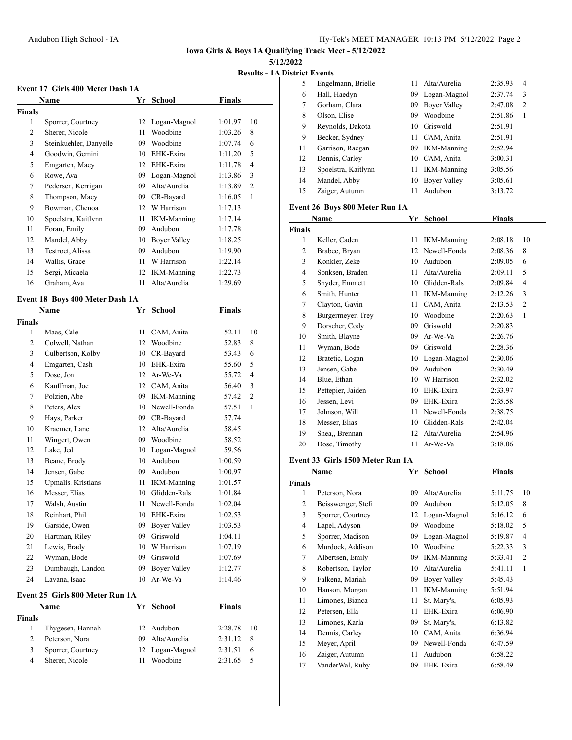## **5/12/2022**

**Results - 1A District Events**

| Event 17 Girls 400 Meter Dash 1A |                                 |    |                     |               |                |  |
|----------------------------------|---------------------------------|----|---------------------|---------------|----------------|--|
|                                  | Name                            |    | Yr School           | Finals        |                |  |
| <b>Finals</b>                    |                                 |    |                     |               |                |  |
| 1                                | Sporrer, Courtney               |    | 12 Logan-Magnol     | 1:01.97       | 10             |  |
| 2                                | Sherer, Nicole                  | 11 | Woodbine            | 1:03.26       | 8              |  |
| 3                                | Steinkuehler, Danyelle          |    | 09 Woodbine         | 1:07.74       | 6              |  |
| 4                                | Goodwin, Gemini                 |    | 10 EHK-Exira        | 1:11.20       | 5              |  |
| 5                                | Emgarten, Macy                  |    | 12 EHK-Exira        | 1:11.78       | $\overline{4}$ |  |
| 6                                | Rowe, Ava                       |    | 09 Logan-Magnol     | 1:13.86       | 3              |  |
| 7                                | Pedersen, Kerrigan              | 09 | Alta/Aurelia        | 1:13.89       | 2              |  |
| 8                                | Thompson, Macy                  |    | 09 CR-Bayard        | 1:16.05       | 1              |  |
| 9                                | Bowman, Chenoa                  |    | 12 W Harrison       | 1:17.13       |                |  |
| 10                               | Spoelstra, Kaitlynn             | 11 | <b>IKM-Manning</b>  | 1:17.14       |                |  |
| 11                               | Foran, Emily                    | 09 | Audubon             | 1:17.78       |                |  |
| 12                               | Mandel, Abby                    |    | 10 Boyer Valley     | 1:18.25       |                |  |
| 13                               | Testroet, Alissa                |    | 09 Audubon          | 1:19.90       |                |  |
| 14                               | Wallis, Grace                   | 11 | W Harrison          | 1:22.14       |                |  |
| 15                               | Sergi, Micaela                  |    | 12 IKM-Manning      | 1:22.73       |                |  |
| 16                               | Graham, Ava                     | 11 | Alta/Aurelia        | 1:29.69       |                |  |
|                                  |                                 |    |                     |               |                |  |
|                                  | Event 18 Boys 400 Meter Dash 1A |    |                     |               |                |  |
|                                  | <b>Name</b>                     |    | Yr School           | Finals        |                |  |
| <b>Finals</b>                    |                                 |    |                     |               |                |  |
| 1                                | Maas, Cale                      | 11 | CAM, Anita          | 52.11         | 10             |  |
| 2                                | Colwell, Nathan                 | 12 | Woodbine            | 52.83         | 8              |  |
| 3                                | Culbertson, Kolby               | 10 | CR-Bayard           | 53.43         | 6              |  |
| 4                                | Emgarten, Cash                  |    | 10 EHK-Exira        | 55.60         | 5              |  |
| 5                                | Dose, Jon                       |    | 12 Ar-We-Va         | 55.72         | $\overline{4}$ |  |
| 6                                | Kauffman, Joe                   |    | 12 CAM, Anita       | 56.40         | 3              |  |
| 7                                | Polzien, Abe                    |    | 09 IKM-Manning      | 57.42         | $\overline{c}$ |  |
| 8                                | Peters, Alex                    |    | 10 Newell-Fonda     | 57.51         | $\mathbf{1}$   |  |
| 9                                | Hays, Parker                    |    | 09 CR-Bayard        | 57.74         |                |  |
| 10                               | Kraemer, Lane                   |    | 12 Alta/Aurelia     | 58.45         |                |  |
| 11                               | Wingert, Owen                   |    | 09 Woodbine         | 58.52         |                |  |
| 12                               | Lake, Jed                       |    | 10 Logan-Magnol     | 59.56         |                |  |
| 13                               | Beane, Brody                    |    | 10 Audubon          | 1:00.59       |                |  |
| 14                               | Jensen, Gabe                    | 09 | Audubon             | 1:00.97       |                |  |
| 15                               | Upmalis, Kristians              | 11 | <b>IKM-Manning</b>  | 1:01.57       |                |  |
| 16                               | Messer, Elias                   | 10 | Glidden-Rals        | 1:01.84       |                |  |
| 17                               | Walsh, Austin                   | 11 | Newell-Fonda        | 1:02.04       |                |  |
| 18                               | Reinhart, Phil                  | 10 | EHK-Exira           | 1:02.53       |                |  |
| 19                               | Garside, Owen                   | 09 | <b>Boyer Valley</b> | 1:03.53       |                |  |
| 20                               | Hartman, Riley                  | 09 | Griswold            | 1:04.11       |                |  |
| 21                               | Lewis, Brady                    | 10 | W Harrison          | 1:07.19       |                |  |
| 22                               | Wyman, Bode                     | 09 | Griswold            | 1:07.69       |                |  |
| 23                               | Dumbaugh, Landon                | 09 | <b>Boyer Valley</b> | 1:12.77       |                |  |
| 24                               | Lavana, Isaac                   | 10 | Ar-We-Va            | 1:14.46       |                |  |
|                                  | Event 25 Girls 800 Meter Run 1A |    |                     |               |                |  |
|                                  | Name                            | Yr | <b>School</b>       | <b>Finals</b> |                |  |
| <b>Finals</b>                    |                                 |    |                     |               |                |  |
| 1                                | Thygesen, Hannah                | 12 | Audubon             | 2:28.78       | 10             |  |
| 2                                | Peterson, Nora                  | 09 | Alta/Aurelia        | 2:31.12       | 8              |  |
| 3                                | Sporrer, Courtney               | 12 | Logan-Magnol        | 2:31.51       | 6              |  |
| 4                                | Sherer, Nicole                  | 11 | Woodbine            | 2:31.65       | 5              |  |
|                                  |                                 |    |                     |               |                |  |

| 5  | Engelmann, Brielle  |      | 11 Alta/Aurelia    | 2:35.93 | 4              |
|----|---------------------|------|--------------------|---------|----------------|
| 6  | Hall, Haedyn        | 09.  | Logan-Magnol       | 2:37.74 | 3              |
| 7  | Gorham, Clara       | 09   | Boyer Valley       | 2:47.08 | $\overline{2}$ |
| 8  | Olson, Elise        | 09   | Woodbine           | 2:51.86 | 1              |
| 9  | Reynolds, Dakota    |      | 10 Griswold        | 2:51.91 |                |
| 9  | Becker, Sydney      | 11 - | CAM, Anita         | 2:51.91 |                |
| 11 | Garrison, Raegan    |      | 09 IKM-Manning     | 2:52.94 |                |
| 12 | Dennis, Carley      |      | 10 CAM, Anita      | 3:00.31 |                |
| 13 | Spoelstra, Kaitlynn | 11   | <b>IKM-Manning</b> | 3:05.56 |                |
| 14 | Mandel, Abby        | 10   | Bover Valley       | 3:05.61 |                |
| 15 | Zaiger, Autumn      | 11   | Audubon            | 3:13.72 |                |
|    |                     |      |                    |         |                |

### **Event 26 Boys 800 Meter Run 1A**

|                | Name                                 | Yr             | School             | <b>Finals</b> |                |
|----------------|--------------------------------------|----------------|--------------------|---------------|----------------|
| <b>Finals</b>  |                                      |                |                    |               |                |
| 1              | Keller, Caden                        | 11             | <b>IKM-Manning</b> | 2:08.18       | 10             |
| $\overline{2}$ | Brabec, Bryan                        | 12             | Newell-Fonda       | 2:08.36       | 8              |
| 3              | Konkler, Zeke                        | 10             | Audubon            | 2:09.05       | 6              |
| $\overline{4}$ | Sonksen, Braden                      | 11             | Alta/Aurelia       | 2:09.11       | 5              |
| 5              | Snyder, Emmett                       | 10             | Glidden-Rals       | 2:09.84       | 4              |
| 6              | Smith, Hunter                        | 11             | <b>IKM-Manning</b> | 2:12.26       | 3              |
| 7              | Clayton, Gavin                       | 11             | CAM, Anita         | 2:13.53       | $\overline{2}$ |
| 8              | Burgermeyer, Trey                    | 10             | Woodbine           | 2:20.63       | 1              |
| 9              | Dorscher, Cody                       | 09             | Griswold           | 2:20.83       |                |
| 10             | Smith, Blayne                        | 09             | Ar-We-Va           | 2:26.76       |                |
| 11             | Wyman, Bode                          | 09             | Griswold           | 2:28.36       |                |
| 12             | Bratetic, Logan                      | 10             | Logan-Magnol       | 2:30.06       |                |
| 13             | Jensen, Gabe                         | 09             | Audubon            | 2:30.49       |                |
| 14             | Blue, Ethan                          | 10             | W Harrison         | 2:32.02       |                |
| 15             | Pettepier, Jaiden                    | 10             | EHK-Exira          | 2:33.97       |                |
| 16             | Jessen, Levi                         | 09             | EHK-Exira          | 2:35.58       |                |
| 17             | Johnson, Will                        | 11             | Newell-Fonda       | 2:38.75       |                |
| 18             | Messer, Elias                        | 10             | Glidden-Rals       | 2:42.04       |                |
| 19             | Shea., Brennan                       | 12             | Alta/Aurelia       | 2:54.96       |                |
| 20             | Dose, Timothy                        | 11             | Ar-We-Va           | 3:18.06       |                |
| <b>TI</b>      | 1.22.72.71.4500.35.7<br>$\mathbf{r}$ | $\blacksquare$ |                    |               |                |

#### **Event 33 Girls 1500 Meter Run 1A**

|                | Name               | Yr | <b>School</b>      | <b>Finals</b> |                |
|----------------|--------------------|----|--------------------|---------------|----------------|
| <b>Finals</b>  |                    |    |                    |               |                |
| 1              | Peterson, Nora     | 09 | Alta/Aurelia       | 5:11.75       | 10             |
| $\overline{c}$ | Beisswenger, Stefi | 09 | Audubon            | 5:12.05       | 8              |
| 3              | Sporrer, Courtney  | 12 | Logan-Magnol       | 5:16.12       | 6              |
| 4              | Lapel, Adyson      | 09 | Woodbine           | 5:18.02       | 5              |
| 5              | Sporrer, Madison   | 09 | Logan-Magnol       | 5:19.87       | $\overline{4}$ |
| 6              | Murdock, Addison   | 10 | Woodbine           | 5:22.33       | 3              |
| 7              | Albertsen, Emily   | 09 | <b>IKM-Manning</b> | 5:33.41       | $\overline{2}$ |
| 8              | Robertson, Taylor  | 10 | Alta/Aurelia       | 5:41.11       | 1              |
| 9              | Falkena, Mariah    | 09 | Boyer Valley       | 5:45.43       |                |
| 10             | Hanson, Morgan     | 11 | <b>IKM-Manning</b> | 5:51.94       |                |
| 11             | Limones, Bianca    | 11 | St. Mary's,        | 6:05.93       |                |
| 12             | Petersen, Ella     | 11 | EHK-Exira          | 6:06.90       |                |
| 13             | Limones, Karla     | 09 | St. Mary's,        | 6:13.82       |                |
| 14             | Dennis, Carley     | 10 | CAM, Anita         | 6:36.94       |                |
| 15             | Meyer, April       | 09 | Newell-Fonda       | 6:47.59       |                |
| 16             | Zaiger, Autumn     | 11 | Audubon            | 6:58.22       |                |
| 17             | VanderWal, Ruby    | 09 | EHK-Exira          | 6:58.49       |                |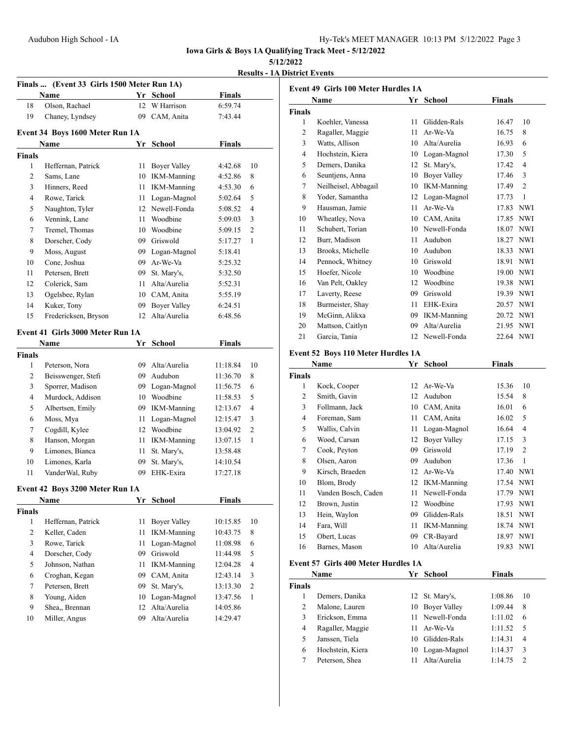### **5/12/2022**

**Results - 1A District Events**

| Finals  (Event 33 Girls 1500 Meter Run 1A) |                                  |    |                     |               |                |  |
|--------------------------------------------|----------------------------------|----|---------------------|---------------|----------------|--|
|                                            | Name                             | Yr | <b>School</b>       | <b>Finals</b> |                |  |
| 18                                         | Olson, Rachael                   | 12 | W Harrison          | 6:59.74       |                |  |
| 19                                         | Chaney, Lyndsey                  | 09 | CAM, Anita          | 7:43.44       |                |  |
|                                            | Event 34 Boys 1600 Meter Run 1A  |    |                     |               |                |  |
|                                            | Name                             | Yr | School              | <b>Finals</b> |                |  |
| <b>Finals</b>                              |                                  |    |                     |               |                |  |
| $\mathbf{1}$                               | Heffernan, Patrick               | 11 | <b>Boyer Valley</b> | 4:42.68       | 10             |  |
| 2                                          | Sams, Lane                       |    | 10 IKM-Manning      | 4:52.86       | 8              |  |
| 3                                          | Hinners, Reed                    |    | 11 IKM-Manning      | 4:53.30       | 6              |  |
| 4                                          | Rowe, Tarick                     | 11 | Logan-Magnol        | 5:02.64       | 5              |  |
| 5                                          | Naughton, Tyler                  |    | 12 Newell-Fonda     | 5:08.52       | 4              |  |
| 6                                          | Vennink, Lane                    |    | 11 Woodbine         | 5:09.03       | 3              |  |
| 7                                          | Tremel, Thomas                   |    | 10 Woodbine         | 5:09.15       | 2              |  |
| 8                                          | Dorscher, Cody                   |    | 09 Griswold         | 5:17.27       | 1              |  |
| 9                                          | Moss, August                     |    | 09 Logan-Magnol     | 5:18.41       |                |  |
| 10                                         | Cone, Joshua                     |    | 09 Ar-We-Va         | 5:25.32       |                |  |
| 11                                         | Petersen, Brett                  |    | 09 St. Mary's,      | 5:32.50       |                |  |
| 12                                         | Colerick, Sam                    |    | 11 Alta/Aurelia     | 5:52.31       |                |  |
| 13                                         | Ogelsbee, Rylan                  |    | 10 CAM, Anita       | 5:55.19       |                |  |
| 14                                         | Kuker, Tony                      | 09 | <b>Boyer Valley</b> | 6:24.51       |                |  |
| 15                                         | Fredericksen, Bryson             | 12 | Alta/Aurelia        | 6:48.56       |                |  |
|                                            |                                  |    |                     |               |                |  |
|                                            | Event 41 Girls 3000 Meter Run 1A |    |                     |               |                |  |
|                                            | Name                             | Yr | <b>School</b>       | <b>Finals</b> |                |  |
| <b>Finals</b>                              |                                  |    |                     |               |                |  |
| 1                                          | Peterson, Nora                   |    | 09 Alta/Aurelia     | 11:18.84      | 10             |  |
| 2                                          | Beisswenger, Stefi               |    | 09 Audubon          | 11:36.70      | 8              |  |
| 3                                          | Sporrer, Madison                 |    | 09 Logan-Magnol     | 11:56.75      | 6              |  |
| 4                                          | Murdock, Addison                 |    | 10 Woodbine         | 11:58.53      | 5              |  |
| 5                                          | Albertsen, Emily                 |    | 09 IKM-Manning      | 12:13.67      | 4              |  |
| 6                                          | Moss, Mya                        | 11 | Logan-Magnol        | 12:15.47      | 3              |  |
| 7                                          | Cogdill, Kylee                   |    | 12 Woodbine         | 13:04.92      | $\overline{c}$ |  |
| 8                                          | Hanson, Morgan                   | 11 | <b>IKM-Manning</b>  | 13:07.15      | 1              |  |
| 9                                          | Limones, Bianca                  | 11 | St. Mary's,         | 13:58.48      |                |  |
| 10                                         | Limones, Karla                   | 09 | St. Mary's,         | 14:10.54      |                |  |
| 11                                         | VanderWal, Ruby                  | 09 | EHK-Exira           | 17:27.18      |                |  |
|                                            | Event 42 Boys 3200 Meter Run 1A  |    |                     |               |                |  |
|                                            | Name                             | Yr | School              | Finals        |                |  |
| <b>Finals</b>                              |                                  |    |                     |               |                |  |
| 1                                          | Heffernan, Patrick               | 11 | <b>Boyer Valley</b> | 10:15.85      | 10             |  |
| 2                                          | Keller, Caden                    | 11 | <b>IKM-Manning</b>  | 10:43.75      | 8              |  |
| 3                                          | Rowe, Tarick                     | 11 | Logan-Magnol        | 11:08.98      | 6              |  |
| 4                                          | Dorscher, Cody                   | 09 | Griswold            | 11:44.98      | 5              |  |
| 5                                          | Johnson, Nathan                  | 11 | <b>IKM-Manning</b>  | 12:04.28      | $\overline{4}$ |  |
| 6                                          | Croghan, Kegan                   | 09 | CAM, Anita          | 12:43.14      | 3              |  |
| 7                                          | Petersen, Brett                  | 09 | St. Mary's,         | 13:13.30      | 2              |  |
| 8                                          | Young, Aiden                     | 10 | Logan-Magnol        | 13:47.56      | $\mathbf{1}$   |  |
| 9                                          | Shea., Brennan                   | 12 | Alta/Aurelia        | 14:05.86      |                |  |
| 10                                         | Miller, Angus                    | 09 | Alta/Aurelia        | 14:29.47      |                |  |
|                                            |                                  |    |                     |               |                |  |

|                | Event 49 Girls 100 Meter Hurdles 1A |                  |                     |               |                |
|----------------|-------------------------------------|------------------|---------------------|---------------|----------------|
|                | Name                                |                  | Yr School           | <b>Finals</b> |                |
| <b>Finals</b>  |                                     |                  |                     |               |                |
| 1              | Koehler, Vanessa                    | 11               | Glidden-Rals        | 16.47         | 10             |
| 2              | Ragaller, Maggie                    | 11               | Ar-We-Va            | 16.75         | 8              |
| 3              | Watts, Allison                      |                  | 10 Alta/Aurelia     | 16.93         | 6              |
| $\overline{4}$ | Hochstein, Kiera                    |                  | 10 Logan-Magnol     | 17.30         | 5              |
| 5              | Demers, Danika                      | 12               | St. Mary's,         | 17.42         | 4              |
| 6              | Seuntjens, Anna                     | 10               | <b>Boyer Valley</b> | 17.46         | 3              |
| 7              | Neilheisel, Abbagail                |                  | 10 IKM-Manning      | 17.49         | 2              |
| 8              | Yoder, Samantha                     | 12               | Logan-Magnol        | 17.73         | 1              |
| 9              | Hausman, Jamie                      | 11               | Ar-We-Va            |               | 17.83 NWI      |
| 10             | Wheatley, Nova                      |                  | 10 CAM, Anita       |               | 17.85 NWI      |
| 11             | Schubert, Torian                    |                  | 10 Newell-Fonda     |               | 18.07 NWI      |
| 12             | Burr, Madison                       | 11               | Audubon             |               | 18.27 NWI      |
| 13             | Brooks, Michelle                    |                  | 10 Audubon          |               | 18.33 NWI      |
| 14             | Pennock, Whitney                    |                  | 10 Griswold         | 18.91         | <b>NWI</b>     |
| 15             | Hoefer, Nicole                      |                  | 10 Woodbine         |               | 19.00 NWI      |
| 16             | Van Pelt, Oakley                    | 12               | Woodbine            | 19.38 NWI     |                |
| 17             | Laverty, Reese                      |                  | 09 Griswold         | 19.39 NWI     |                |
| 18             | Burmeister, Shay                    | 11               | EHK-Exira           | 20.57 NWI     |                |
| 19             | McGinn, Alikxa                      |                  | 09 IKM-Manning      | 20.72 NWI     |                |
| 20             | Mattson, Caitlyn                    |                  | 09 Alta/Aurelia     | 21.95 NWI     |                |
| 21             | Garcia, Tania                       |                  | 12 Newell-Fonda     | 22.64 NWI     |                |
|                | Event 52 Boys 110 Meter Hurdles 1A  |                  |                     |               |                |
|                | Name                                |                  | Yr School           | Finals        |                |
| <b>Finals</b>  |                                     |                  |                     |               |                |
| 1              | Kock, Cooper                        |                  | 12 Ar-We-Va         | 15.36         | 10             |
| 2              | Smith, Gavin                        | 12 <sup>12</sup> | Audubon             | 15.54         | 8              |
| 3              | Follmann, Jack                      |                  | 10 CAM, Anita       | 16.01         | 6              |
| $\overline{4}$ | Foreman, Sam                        | 11 -             | CAM, Anita          | 16.02         | 5              |
| 5              | Wallis, Calvin                      |                  | 11 Logan-Magnol     | 16.64         | $\overline{4}$ |
| 6              | Wood, Carsan                        |                  | 12 Boyer Valley     | 17.15         | 3              |
| 7              | Cook, Peyton                        |                  | 09 Griswold         | 17.19         | $\overline{c}$ |
| 8              | Olsen, Aaron                        |                  | 09 Audubon          | 17.36         | 1              |
| 9              | Kirsch, Braeden                     |                  | 12 Ar-We-Va         |               | 17.40 NWI      |
| 10             | Blom, Brody                         |                  | 12 IKM-Manning      |               | 17.54 NWI      |
| 11             | Vanden Bosch, Caden                 | 11               | Newell-Fonda        | 17.79         | <b>NWI</b>     |
| 12             | Brown, Justin                       | 12               | Woodbine            | 17.93         | <b>NWI</b>     |

## **Event 57 Girls 400 Meter Hurdles 1A**

|               | Name             | Yr | School          | <b>Finals</b> |    |
|---------------|------------------|----|-----------------|---------------|----|
| <b>Finals</b> |                  |    |                 |               |    |
|               | Demers, Danika   |    | 12 St. Mary's,  | 1:08.86       | 10 |
| 2             | Malone, Lauren   |    | 10 Bover Valley | 1:09.44       | 8  |
| 3             | Erickson, Emma   |    | 11 Newell-Fonda | 1:11.02       | 6  |
| 4             | Ragaller, Maggie |    | 11 Ar-We-Va     | 1:11.52       | 5  |
| 5             | Janssen, Tiela   | 10 | Glidden-Rals    | 1:14.31       | 4  |
| 6             | Hochstein, Kiera |    | 10 Logan-Magnol | 1:14.37       | 3  |
|               | Peterson, Shea   | 11 | Alta/Aurelia    | 1:14.75       | 2  |

 Hein, Waylon 09 Glidden-Rals 18.51 NWI 14 Fara, Will 11 IKM-Manning 18.74 NWI 15 Obert, Lucas 09 CR-Bayard 18.97 NWI<br>16 Barnes Mason 10 Alta/Aurelia 19.83 NWI Barnes, Mason 10 Alta/Aurelia 19.83 NWI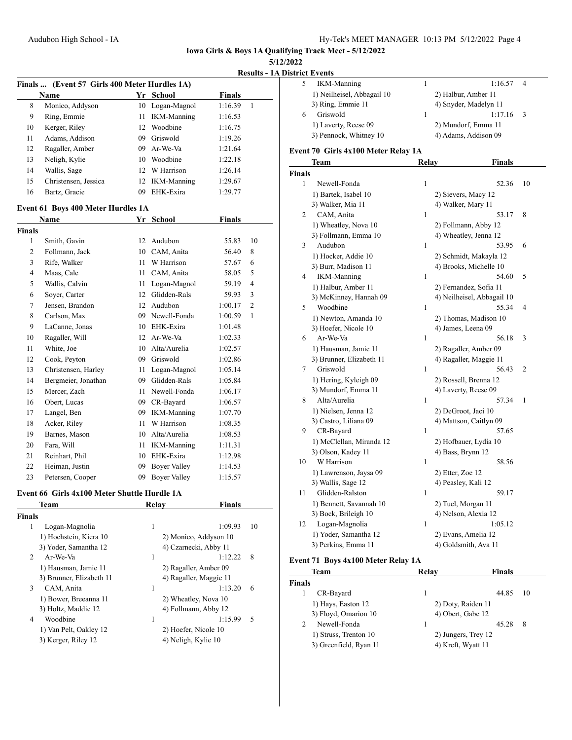**5/12/2022**

**Results - 1A District Events**

|               | Finals  (Event 57 Girls 400 Meter Hurdles 1A) |      |                        |               |              |
|---------------|-----------------------------------------------|------|------------------------|---------------|--------------|
|               | Name                                          |      | Yr School              | <b>Finals</b> |              |
| 8             | Monico, Addyson                               |      | 10 Logan-Magnol        | 1:16.39       | $\mathbf{1}$ |
| 9             | Ring, Emmie                                   | 11 - | <b>IKM-Manning</b>     | 1:16.53       |              |
| 10            | Kerger, Riley                                 |      | 12 Woodbine            | 1:16.75       |              |
| 11            | Adams, Addison                                |      | 09 Griswold            | 1:19.26       |              |
| 12            | Ragaller, Amber                               |      | 09 Ar-We-Va            | 1:21.64       |              |
| 13            | Neligh, Kylie                                 |      | 10 Woodbine            | 1:22.18       |              |
| 14            | Wallis, Sage                                  |      | 12 W Harrison          | 1:26.14       |              |
| 15            | Christensen, Jessica                          |      | 12 IKM-Manning         | 1:29.67       |              |
| 16            | Bartz, Gracie                                 |      | 09 EHK-Exira           | 1:29.77       |              |
|               | Event 61 Boys 400 Meter Hurdles 1A            |      |                        |               |              |
|               | Name                                          |      | Yr School              | <b>Finals</b> |              |
| <b>Finals</b> |                                               |      |                        |               |              |
| $\mathbf{1}$  | Smith, Gavin                                  |      | 12 Audubon             | 55.83         | 10           |
| 2             | Follmann, Jack                                |      | 10 CAM, Anita          | 56.40         | 8            |
| 3             | Rife, Walker                                  |      | 11 W Harrison          | 57.67         | 6            |
| 4             | Maas, Cale                                    | 11 - | CAM, Anita             | 58.05         | 5            |
| 5             | Wallis, Calvin                                | 11 - | Logan-Magnol           | 59.19         | 4            |
| 6             | Sover, Carter                                 |      | 12 Glidden-Rals        | 59.93         | 3            |
| 7             | Jensen, Brandon                               |      | 12 Audubon             | 1:00.17       | 2            |
| 8             | Carlson, Max                                  |      | 09 Newell-Fonda        | 1:00.59       | 1            |
| 9             | LaCanne, Jonas                                |      | 10 EHK-Exira           | 1:01.48       |              |
| 10            | Ragaller, Will                                |      | 12 Ar-We-Va            | 1:02.33       |              |
| 11            | White, Joe                                    |      | 10 Alta/Aurelia        | 1:02.57       |              |
| 12            | Cook, Peyton                                  |      | 09 Griswold            | 1:02.86       |              |
| 13            | Christensen, Harley                           |      | 11 Logan-Magnol        | 1:05.14       |              |
| 14            | Bergmeier, Jonathan                           |      | 09 Glidden-Rals        | 1:05.84       |              |
| 15            | Mercer, Zach                                  |      | 11 Newell-Fonda        | 1:06.17       |              |
| 16            | Obert, Lucas                                  |      | 09 CR-Bayard           | 1:06.57       |              |
| 17            | Langel, Ben                                   |      | 09 IKM-Manning         | 1:07.70       |              |
| 18            | Acker, Riley                                  |      | 11 W Harrison          | 1:08.35       |              |
| 19            | Barnes, Mason                                 |      | 10 Alta/Aurelia        | 1:08.53       |              |
| 20            | Fara, Will                                    | 11 - | <b>IKM-Manning</b>     | 1:11.31       |              |
| 21            | Reinhart, Phil                                |      | 10 EHK-Exira           | 1:12.98       |              |
| 22            | Heiman, Justin                                | 09   | <b>Boyer Valley</b>    | 1:14.53       |              |
| 23            | Petersen, Cooper                              | 09   | <b>Boyer Valley</b>    | 1:15.57       |              |
|               | Event 66 Girls 4x100 Meter Shuttle Hurdle 1A  |      |                        |               |              |
|               | <b>Team</b>                                   |      | Relay                  | <b>Finals</b> |              |
| <b>Finals</b> |                                               |      |                        |               |              |
| 1             | Logan-Magnolia                                |      | $\mathbf{1}$           | 1:09.93       | 10           |
|               | 1) Hochstein, Kiera 10                        |      | 2) Monico, Addyson 10  |               |              |
|               | 3) Yoder, Samantha 12                         |      | 4) Czarnecki, Abby 11  |               |              |
| 2             | Ar-We-Va                                      |      | 1                      | 1:12.22       | 8            |
|               | 1) Hausman, Jamie 11                          |      | 2) Ragaller, Amber 09  |               |              |
|               | 3) Brunner, Elizabeth 11                      |      | 4) Ragaller, Maggie 11 |               |              |
| 3             | CAM, Anita                                    |      | 1                      | 1:13.20       | 6            |
|               | 1) Bower, Breeanna 11                         |      | 2) Wheatley, Nova 10   |               |              |
|               | 3) Holtz, Maddie 12                           |      | 4) Follmann, Abby 12   |               |              |
| 4             | Woodbine                                      |      | 1                      | 1:15.99       | 5            |
|               | 1) Van Pelt, Oakley 12                        |      | 2) Hoefer, Nicole 10   |               |              |
|               | 3) Kerger, Riley 12                           |      | 4) Neligh, Kylie 10    |               |              |
|               |                                               |      |                        |               |              |

| пертина                    |                       |                |
|----------------------------|-----------------------|----------------|
| <b>IKM-Manning</b>         | 1:16.57               | $\overline{4}$ |
| 1) Neilheisel, Abbagail 10 | 2) Halbur, Amber 11   |                |
| 3) Ring, Emmie 11          | 4) Snyder, Madelyn 11 |                |
| Griswold                   | 1:17.16               | $\mathcal{R}$  |
| 1) Laverty, Reese 09       | 2) Mundorf, Emma 11   |                |
| 3) Pennock, Whitney 10     | 4) Adams, Addison 09  |                |
|                            |                       |                |

### **Event 70 Girls 4x100 Meter Relay 1A**

|               | Team                     | Relay        | <b>Finals</b>              |                |
|---------------|--------------------------|--------------|----------------------------|----------------|
| <b>Finals</b> |                          |              |                            |                |
| 1             | Newell-Fonda             | $\mathbf{1}$ | 52.36                      | 10             |
|               | 1) Bartek, Isabel 10     |              | 2) Sievers, Macy 12        |                |
|               | 3) Walker, Mia 11        |              | 4) Walker, Mary 11         |                |
| 2             | CAM, Anita               | $\mathbf{1}$ | 53.17                      | 8              |
|               | 1) Wheatley, Nova 10     |              | 2) Follmann, Abby 12       |                |
|               | 3) Follmann, Emma 10     |              | 4) Wheatley, Jenna 12      |                |
| 3             | Audubon                  | $\mathbf{1}$ | 53.95                      | 6              |
|               | 1) Hocker, Addie 10      |              | 2) Schmidt, Makayla 12     |                |
|               | 3) Burr, Madison 11      |              | 4) Brooks, Michelle 10     |                |
| 4             | <b>IKM-Manning</b>       | $\mathbf{1}$ | 54.60                      | 5              |
|               | 1) Halbur, Amber 11      |              | 2) Fernandez, Sofia 11     |                |
|               | 3) McKinney, Hannah 09   |              | 4) Neilheisel, Abbagail 10 |                |
| 5             | Woodbine                 | $\mathbf{1}$ | 55.34                      | 4              |
|               | 1) Newton, Amanda 10     |              | 2) Thomas, Madison 10      |                |
|               | 3) Hoefer, Nicole 10     |              | 4) James, Leena 09         |                |
| 6             | Ar-We-Va                 | $\mathbf{1}$ | 56.18                      | 3              |
|               | 1) Hausman, Jamie 11     |              | 2) Ragaller, Amber 09      |                |
|               | 3) Brunner, Elizabeth 11 |              | 4) Ragaller, Maggie 11     |                |
| 7             | Griswold                 | $\mathbf{1}$ | 56.43                      | $\overline{2}$ |
|               | 1) Hering, Kyleigh 09    |              | 2) Rossell, Brenna 12      |                |
|               | 3) Mundorf, Emma 11      |              | 4) Laverty, Reese 09       |                |
| 8             | Alta/Aurelia             | $\mathbf{1}$ | 57.34                      | 1              |
|               | 1) Nielsen, Jenna 12     |              | 2) DeGroot, Jaci 10        |                |
|               | 3) Castro, Liliana 09    |              | 4) Mattson, Caitlyn 09     |                |
| 9             | CR-Bayard                | $\mathbf{1}$ | 57.65                      |                |
|               | 1) McClellan, Miranda 12 |              | 2) Hofbauer, Lydia 10      |                |
|               | 3) Olson, Kadey 11       |              | 4) Bass, Brynn 12          |                |
| 10            | W Harrison               | $\mathbf{1}$ | 58.56                      |                |
|               | 1) Lawrenson, Jaysa 09   |              | 2) Etter, Zoe 12           |                |
|               | 3) Wallis, Sage 12       |              | 4) Peasley, Kali 12        |                |
| 11            | Glidden-Ralston          | $\mathbf{1}$ | 59.17                      |                |
|               | 1) Bennett, Savannah 10  |              | 2) Tuel, Morgan 11         |                |
|               | 3) Bock, Brileigh 10     |              | 4) Nelson, Alexia 12       |                |
| 12            | Logan-Magnolia           | $\mathbf{1}$ | 1:05.12                    |                |
|               | 1) Yoder, Samantha 12    |              | 2) Evans, Amelia 12        |                |
|               | 3) Perkins, Emma 11      |              | 4) Goldsmith, Ava 11       |                |

### **Event 71 Boys 4x100 Meter Relay 1A**

|               | Team                   | Relav               | <b>Finals</b> |    |
|---------------|------------------------|---------------------|---------------|----|
| <b>Finals</b> |                        |                     |               |    |
|               | CR-Bayard              | 1                   | 44.85         | 10 |
|               | 1) Hays, Easton 12     | 2) Doty, Raiden 11  |               |    |
|               | 3) Floyd, Omarion 10   | 4) Obert, Gabe 12   |               |    |
| 2             | Newell-Fonda           |                     | 45.28         | 8  |
|               | 1) Struss, Trenton 10  | 2) Jungers, Trey 12 |               |    |
|               | 3) Greenfield, Ryan 11 | 4) Kreft, Wyatt 11  |               |    |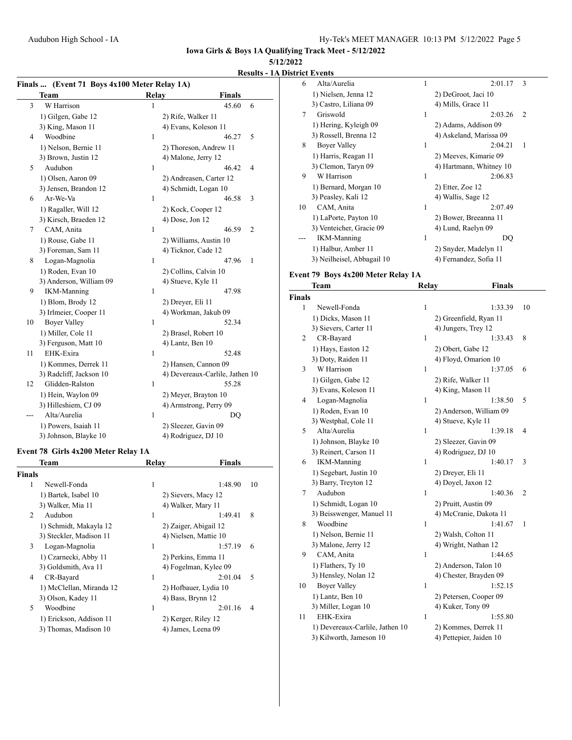### **5/12/2022**

### **Results - 1A District Events**

| Finals  (Event 71 Boys 4x100 Meter Relay 1A) |                         |              |                                 |
|----------------------------------------------|-------------------------|--------------|---------------------------------|
|                                              | Team                    | <b>Relay</b> | <b>Finals</b>                   |
| 3                                            | W Harrison              | 1            | 45.60<br>6                      |
|                                              | 1) Gilgen, Gabe 12      |              | 2) Rife, Walker 11              |
|                                              | 3) King, Mason 11       |              | 4) Evans, Koleson 11            |
| 4                                            | Woodbine                | $\mathbf{1}$ | 46.27<br>5                      |
|                                              | 1) Nelson, Bernie 11    |              | 2) Thoreson, Andrew 11          |
|                                              | 3) Brown, Justin 12     |              | 4) Malone, Jerry 12             |
| 5                                            | Audubon                 | 1            | 46.42<br>4                      |
|                                              | 1) Olsen, Aaron 09      |              | 2) Andreasen, Carter 12         |
|                                              | 3) Jensen, Brandon 12   |              | 4) Schmidt, Logan 10            |
| 6                                            | Ar-We-Va                | $\mathbf{1}$ | 46.58<br>3                      |
|                                              | 1) Ragaller, Will 12    |              | 2) Kock, Cooper 12              |
|                                              | 3) Kirsch, Braeden 12   |              | 4) Dose, Jon 12                 |
| 7                                            | CAM, Anita              | 1            | 46.59<br>2                      |
|                                              | 1) Rouse, Gabe 11       |              | 2) Williams, Austin 10          |
|                                              | 3) Foreman, Sam 11      |              | 4) Ticknor, Cade 12             |
| 8                                            | Logan-Magnolia          | 1            | 47.96<br>1                      |
|                                              | 1) Roden, Evan 10       |              | 2) Collins, Calvin 10           |
|                                              | 3) Anderson, William 09 |              | 4) Stueve, Kyle 11              |
| 9                                            | <b>IKM-Manning</b>      | 1            | 47.98                           |
|                                              | 1) Blom, Brody 12       |              | 2) Dreyer, Eli 11               |
|                                              | 3) Irlmeier, Cooper 11  |              | 4) Workman, Jakub 09            |
| 10                                           | <b>Boyer Valley</b>     | 1            | 52.34                           |
|                                              | 1) Miller, Cole 11      |              | 2) Brasel, Robert 10            |
|                                              | 3) Ferguson, Matt 10    |              | 4) Lantz, Ben 10                |
| 11                                           | EHK-Exira               | $\mathbf{1}$ | 52.48                           |
|                                              | 1) Kommes, Derrek 11    |              | 2) Hansen, Cannon 09            |
|                                              | 3) Radcliff, Jackson 10 |              | 4) Devereaux-Carlile, Jathen 10 |
| 12                                           | Glidden-Ralston         | 1            | 55.28                           |
|                                              | 1) Hein, Waylon 09      |              | 2) Meyer, Brayton 10            |
|                                              | 3) Hilleshiem, CJ 09    |              | 4) Armstrong, Perry 09          |
| ---                                          | Alta/Aurelia            | 1            | DQ                              |
|                                              | 1) Powers, Isaiah 11    |              | 2) Sleezer, Gavin 09            |
|                                              | 3) Johnson, Blayke 10   |              | 4) Rodriguez, DJ 10             |

### **Event 78 Girls 4x200 Meter Relay 1A**

|        | Team                     | Relay | <b>Finals</b>         |    |
|--------|--------------------------|-------|-----------------------|----|
| Finals |                          |       |                       |    |
| 1      | Newell-Fonda             | 1     | 1:48.90               | 10 |
|        | 1) Bartek, Isabel 10     |       | 2) Sievers, Macy 12   |    |
|        | 3) Walker, Mia 11        |       | 4) Walker, Mary 11    |    |
| 2      | Audubon                  | 1     | 1:49.41               | 8  |
|        | 1) Schmidt, Makayla 12   |       | 2) Zaiger, Abigail 12 |    |
|        | 3) Steckler, Madison 11  |       | 4) Nielsen, Mattie 10 |    |
| 3      | Logan-Magnolia           | 1     | 1:57.19               | 6  |
|        | 1) Czarnecki, Abby 11    |       | 2) Perkins, Emma 11   |    |
|        | 3) Goldsmith, Ava 11     |       | 4) Fogelman, Kylee 09 |    |
| 4      | CR-Bayard                | 1     | 2:01.04               | 5  |
|        | 1) McClellan, Miranda 12 |       | 2) Hofbauer, Lydia 10 |    |
|        | 3) Olson, Kadey 11       |       | 4) Bass, Brynn 12     |    |
| 5      | Woodbine                 | 1     | 2:01.16               | 4  |
|        | 1) Erickson, Addison 11  |       | 2) Kerger, Riley 12   |    |
|        | 3) Thomas, Madison 10    |       | 4) James, Leena 09    |    |
|        |                          |       |                       |    |

| 6  | Alta/Aurelia               | 1 | 2:01.17                 | 3 |
|----|----------------------------|---|-------------------------|---|
|    | 1) Nielsen, Jenna 12       |   | 2) DeGroot, Jaci 10     |   |
|    | 3) Castro, Liliana 09      |   | 4) Mills, Grace 11      |   |
| 7  | Griswold                   | 1 | 2:03.26                 | 2 |
|    | 1) Hering, Kyleigh 09      |   | 2) Adams, Addison 09    |   |
|    | 3) Rossell, Brenna 12      |   | 4) Askeland, Marissa 09 |   |
| 8  | Boyer Valley               | 1 | 2:04.21                 | 1 |
|    | 1) Harris, Reagan 11       |   | 2) Meeves, Kimarie 09   |   |
|    | 3) Clemon, Taryn 09        |   | 4) Hartmann, Whitney 10 |   |
| 9  | W Harrison                 | 1 | 2:06.83                 |   |
|    | 1) Bernard, Morgan 10      |   | 2) Etter, Zoe 12        |   |
|    | 3) Peasley, Kali 12        |   | 4) Wallis, Sage 12      |   |
| 10 | CAM, Anita                 | 1 | 2:07.49                 |   |
|    | 1) LaPorte, Payton 10      |   | 2) Bower, Breeanna 11   |   |
|    | 3) Venteicher, Gracie 09   |   | 4) Lund, Raelyn 09      |   |
|    | <b>IKM-Manning</b>         | 1 | DO                      |   |
|    | 1) Halbur, Amber 11        |   | 2) Snyder, Madelyn 11   |   |
|    | 3) Neilheisel, Abbagail 10 |   | 4) Fernandez, Sofia 11  |   |

# **Event 79 Boys 4x200 Meter Relay 1A**

|                | Team                            | Relay | <b>Finals</b>           |                |
|----------------|---------------------------------|-------|-------------------------|----------------|
| <b>Finals</b>  |                                 |       |                         |                |
| 1              | Newell-Fonda                    | 1     | 1:33.39                 | 10             |
|                | 1) Dicks, Mason 11              |       | 2) Greenfield, Ryan 11  |                |
|                | 3) Sievers, Carter 11           |       | 4) Jungers, Trey 12     |                |
| $\overline{c}$ | CR-Bayard                       | 1     | 1:33.43                 | 8              |
|                | 1) Hays, Easton 12              |       | 2) Obert, Gabe 12       |                |
|                | 3) Doty, Raiden 11              |       | 4) Floyd, Omarion 10    |                |
| 3              | W Harrison                      | 1     | 1:37.05                 | 6              |
|                | 1) Gilgen, Gabe 12              |       | 2) Rife, Walker 11      |                |
|                | 3) Evans, Koleson 11            |       | 4) King, Mason 11       |                |
| 4              | Logan-Magnolia                  | 1     | 1:38.50                 | 5              |
|                | 1) Roden, Evan 10               |       | 2) Anderson, William 09 |                |
|                | 3) Westphal, Cole 11            |       | 4) Stueve, Kyle 11      |                |
| 5              | Alta/Aurelia                    | 1     | 1:39.18                 | 4              |
|                | 1) Johnson, Blayke 10           |       | 2) Sleezer, Gavin 09    |                |
|                | 3) Reinert, Carson 11           |       | 4) Rodriguez, DJ 10     |                |
| 6              | <b>IKM-Manning</b>              | 1     | 1:40.17                 | 3              |
|                | 1) Segebart, Justin 10          |       | 2) Dreyer, Eli 11       |                |
|                | 3) Barry, Treyton 12            |       | 4) Doyel, Jaxon 12      |                |
| 7              | Audubon                         | 1     | 1:40.36                 | $\overline{2}$ |
|                | 1) Schmidt, Logan 10            |       | 2) Pruitt, Austin 09    |                |
|                | 3) Beisswenger, Manuel 11       |       | 4) McCranie, Dakota 11  |                |
| 8              | Woodbine                        | 1     | 1:41.67                 | $\mathbf{1}$   |
|                | 1) Nelson, Bernie 11            |       | 2) Walsh, Colton 11     |                |
|                | 3) Malone, Jerry 12             |       | 4) Wright, Nathan 12    |                |
| 9              | CAM, Anita                      | 1     | 1:44.65                 |                |
|                | 1) Flathers, Ty 10              |       | 2) Anderson, Talon 10   |                |
|                | 3) Hensley, Nolan 12            |       | 4) Chester, Brayden 09  |                |
| 10             | <b>Boyer Valley</b>             | 1     | 1:52.15                 |                |
|                | 1) Lantz, Ben 10                |       | 2) Petersen, Cooper 09  |                |
|                | 3) Miller, Logan 10             |       | 4) Kuker, Tony 09       |                |
| 11             | EHK-Exira                       | 1     | 1:55.80                 |                |
|                | 1) Devereaux-Carlile, Jathen 10 |       | 2) Kommes, Derrek 11    |                |
|                | 3) Kilworth, Jameson 10         |       | 4) Pettepier, Jaiden 10 |                |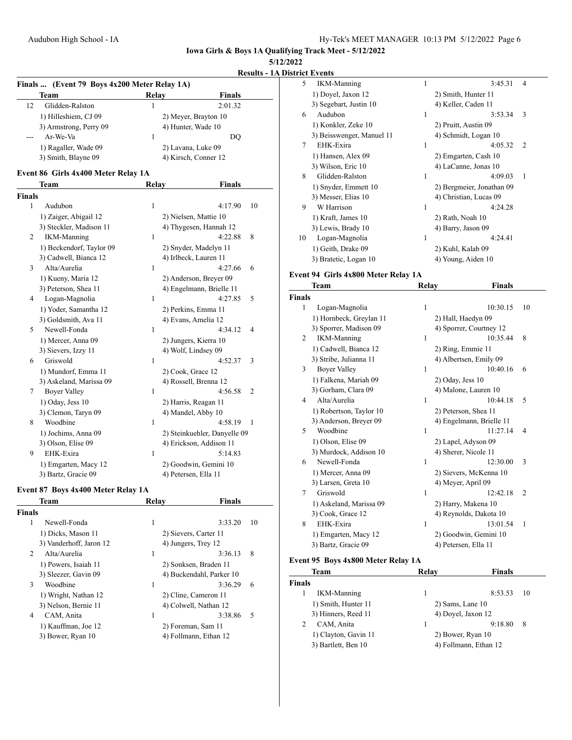**5/12/2022**

**Results - 1A District Events**

|               | <b>Team</b>                         | Relay        | <b>Finals</b>                |
|---------------|-------------------------------------|--------------|------------------------------|
| 12            | Glidden-Ralston                     | 1            | 2:01.32                      |
|               | 1) Hilleshiem, CJ 09                |              | 2) Meyer, Brayton 10         |
|               | 3) Armstrong, Perry 09              |              | 4) Hunter, Wade 10           |
|               | Ar-We-Va                            | 1            | DQ                           |
|               | 1) Ragaller, Wade 09                |              | 2) Lavana, Luke 09           |
|               | 3) Smith, Blayne 09                 |              | 4) Kirsch, Conner 12         |
|               | Event 86 Girls 4x400 Meter Relay 1A |              |                              |
|               | Team                                | <b>Relay</b> | <b>Finals</b>                |
| <b>Finals</b> |                                     |              |                              |
| $\mathbf{1}$  | Audubon                             | 1            | 4:17.90<br>10                |
|               | 1) Zaiger, Abigail 12               |              | 2) Nielsen, Mattie 10        |
|               | 3) Steckler, Madison 11             |              | 4) Thygesen, Hannah 12       |
| 2             | <b>IKM-Manning</b>                  | 1            | 4:22.88<br>8                 |
|               | 1) Beckendorf, Taylor 09            |              | 2) Snyder, Madelyn 11        |
|               | 3) Cadwell, Bianca 12               |              | 4) Irlbeck, Lauren 11        |
| 3             | Alta/Aurelia                        | 1            | 4:27.66<br>6                 |
|               | 1) Kueny, Maria 12                  |              | 2) Anderson, Breyer 09       |
|               | 3) Peterson, Shea 11                |              | 4) Engelmann, Brielle 11     |
| 4             | Logan-Magnolia                      | 1            | 4:27.85<br>5                 |
|               | 1) Yoder, Samantha 12               |              | 2) Perkins, Emma 11          |
|               | 3) Goldsmith, Ava 11                |              | 4) Evans, Amelia 12          |
| 5             | Newell-Fonda                        | 1            | 4:34.12<br>4                 |
|               | 1) Mercer, Anna 09                  |              | 2) Jungers, Kierra 10        |
|               | 3) Sievers, Izzy 11                 |              | 4) Wolf, Lindsey 09          |
| 6             | Griswold                            | 1            | 4:52.37<br>3                 |
|               | 1) Mundorf, Emma 11                 |              | 2) Cook, Grace 12            |
|               | 3) Askeland, Marissa 09             |              | 4) Rossell, Brenna 12        |
| 7             | <b>Boyer Valley</b>                 | 1            | 4:56.58<br>2                 |
|               | 1) Oday, Jess 10                    |              | 2) Harris, Reagan 11         |
|               | 3) Clemon, Taryn 09                 |              | 4) Mandel, Abby 10           |
| 8             | Woodbine                            | 1            | 4:58.19<br>1                 |
|               | 1) Jochims, Anna 09                 |              | 2) Steinkuehler, Danyelle 09 |
|               | 3) Olson, Elise 09                  |              | 4) Erickson, Addison 11      |
| 9             | EHK-Exira                           | 1            | 5:14.83                      |
|               | 1) Emgarten, Macy 12                |              | 2) Goodwin, Gemini 10        |
|               | 3) Bartz, Gracie 09                 |              | 4) Petersen, Ella 11         |

| Relav<br>Team |                         | <b>Finals</b> |                          |
|---------------|-------------------------|---------------|--------------------------|
| <b>Finals</b> |                         |               |                          |
| 1             | Newell-Fonda            | 1             | 3:33.20<br>10            |
|               | 1) Dicks, Mason 11      |               | 2) Sievers, Carter 11    |
|               | 3) Vanderhoff, Jaron 12 |               | 4) Jungers, Trey 12      |
| 2             | Alta/Aurelia            | 1             | 8<br>3:36.13             |
|               | 1) Powers, Isaiah 11    |               | 2) Sonksen, Braden 11    |
|               | 3) Sleezer, Gavin 09    |               | 4) Buckendahl, Parker 10 |
| 3             | Woodbine                | 1             | 3:36.29<br>6             |
|               | 1) Wright, Nathan 12    |               | 2) Cline, Cameron 11     |
|               | 3) Nelson, Bernie 11    |               | 4) Colwell, Nathan 12    |
| 4             | CAM, Anita              | 1             | .5<br>3:38.86            |
|               | 1) Kauffman, Joe 12     |               | 2) Foreman, Sam 11       |
|               | 3) Bower, Ryan 10       |               | 4) Follmann, Ethan 12    |

| 5  | <b>IKM-Manning</b>        | 1 | 3:45.31                   | 4             |
|----|---------------------------|---|---------------------------|---------------|
|    | 1) Doyel, Jaxon 12        |   | 2) Smith, Hunter 11       |               |
|    | 3) Segebart, Justin 10    |   | 4) Keller, Caden 11       |               |
| 6  | Audubon                   | 1 | 3:53.34                   | 3             |
|    | 1) Konkler, Zeke 10       |   | 2) Pruitt, Austin 09      |               |
|    | 3) Beisswenger, Manuel 11 |   | 4) Schmidt, Logan 10      |               |
| 7  | EHK-Exira                 | 1 | 4:05.32                   | $\mathcal{L}$ |
|    | 1) Hansen, Alex 09        |   | 2) Emgarten, Cash 10      |               |
|    | 3) Wilson, Eric 10        |   | 4) LaCanne, Jonas 10      |               |
| 8  | Glidden-Ralston           | 1 | 4:09.03                   | 1             |
|    | 1) Snyder, Emmett 10      |   | 2) Bergmeier, Jonathan 09 |               |
|    | 3) Messer, Elias 10       |   | 4) Christian, Lucas 09    |               |
| 9  | W Harrison                | 1 | 4:24.28                   |               |
|    | 1) Kraft, James 10        |   | 2) Rath, Noah 10          |               |
|    | 3) Lewis, Brady 10        |   | 4) Barry, Jason 09        |               |
| 10 | Logan-Magnolia            | 1 | 4:24.41                   |               |
|    | 1) Geith, Drake 09        |   | 2) Kuhl, Kalab 09         |               |
|    | 3) Bratetic, Logan 10     |   | 4) Young, Aiden 10        |               |
|    |                           |   |                           |               |

### **Event 94 Girls 4x800 Meter Relay 1A**

|               | Team                    | <b>Relay</b>     | <b>Finals</b>            |                |
|---------------|-------------------------|------------------|--------------------------|----------------|
| <b>Finals</b> |                         |                  |                          |                |
| 1             | Logan-Magnolia          | 1                | 10:30.15                 | 10             |
|               | 1) Hornbeck, Greylan 11 |                  | 2) Hall, Haedyn 09       |                |
|               | 3) Sporrer, Madison 09  |                  | 4) Sporrer, Courtney 12  |                |
| 2             | <b>IKM-Manning</b>      | 1                | 10:35.44                 | 8              |
|               | 1) Cadwell, Bianca 12   |                  | 2) Ring, Emmie 11        |                |
|               | 3) Stribe, Julianna 11  |                  | 4) Albertsen, Emily 09   |                |
| 3             | <b>Boyer Valley</b>     | 1                | 10:40.16                 | 6              |
|               | 1) Falkena, Mariah 09   | 2) Oday, Jess 10 |                          |                |
|               | 3) Gorham, Clara 09     |                  | 4) Malone, Lauren 10     |                |
| 4             | Alta/Aurelia            | 1                | 10:44.18                 | 5              |
|               | 1) Robertson, Taylor 10 |                  | 2) Peterson, Shea 11     |                |
|               | 3) Anderson, Brever 09  |                  | 4) Engelmann, Brielle 11 |                |
| 5             | Woodbine                | 1                | 11:27.14                 | 4              |
|               | 1) Olson, Elise 09      |                  | 2) Lapel, Adyson 09      |                |
|               | 3) Murdock, Addison 10  |                  | 4) Sherer, Nicole 11     |                |
| 6             | Newell-Fonda            | 1                | 12:30.00                 | 3              |
|               | 1) Mercer, Anna 09      |                  | 2) Sievers, McKenna 10   |                |
|               | 3) Larsen, Greta 10     |                  | 4) Meyer, April 09       |                |
| 7             | Griswold                | 1                | 12:42.18                 | $\overline{c}$ |
|               | 1) Askeland, Marissa 09 |                  | 2) Harry, Makena 10      |                |
|               | 3) Cook, Grace 12       |                  | 4) Reynolds, Dakota 10   |                |
| 8             | EHK-Exira               | 1                | 13:01.54                 | $\mathbf{1}$   |
|               | 1) Emgarten, Macy 12    |                  | 2) Goodwin, Gemini 10    |                |
|               | 3) Bartz, Gracie 09     |                  | 4) Petersen, Ella 11     |                |

## **Event 95 Boys 4x800 Meter Relay 1A**

|               | Team                 | Relav                | <b>Finals</b>         |    |
|---------------|----------------------|----------------------|-----------------------|----|
| <b>Finals</b> |                      |                      |                       |    |
|               | <b>IKM-Manning</b>   | 1                    | 8:53.53               | 10 |
|               | 1) Smith, Hunter 11  | $2)$ Sams, Lane $10$ |                       |    |
|               | 3) Hinners, Reed 11  | 4) Dovel, Jaxon 12   |                       |    |
| 2             | CAM, Anita           |                      | 9:18.80               | 8  |
|               | 1) Clayton, Gavin 11 | 2) Bower, Ryan 10    |                       |    |
|               | 3) Bartlett, Ben 10  |                      | 4) Follmann, Ethan 12 |    |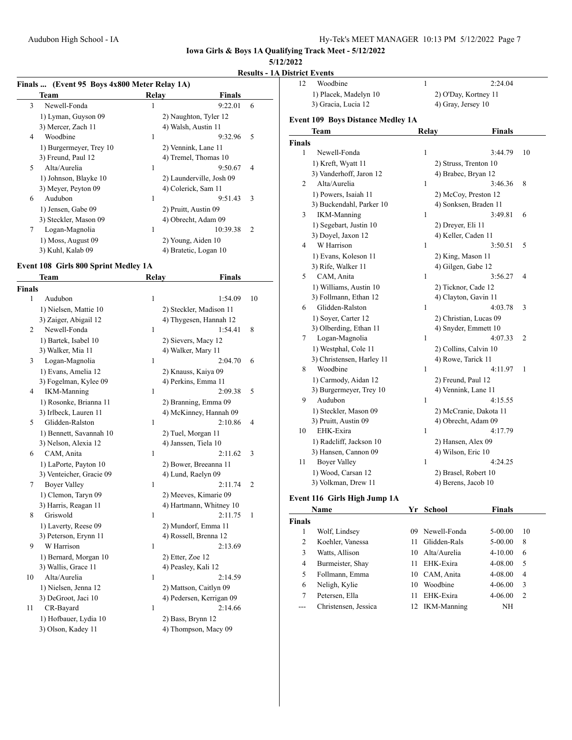### **5/12/2022**

### **Results - 1A District Events**

| Finals  (Event 95 Boys 4x800 Meter Relay 1A) |                      |                           |
|----------------------------------------------|----------------------|---------------------------|
| Team                                         | Relay                | Finals                    |
| 3<br>Newell-Fonda                            | 1                    | 9:22.01<br>6              |
| 1) Lyman, Guyson 09                          |                      | 2) Naughton, Tyler 12     |
| 3) Mercer, Zach 11                           | 4) Walsh, Austin 11  |                           |
| Woodbine<br>4                                | 1                    | 5<br>9:32.96              |
| 1) Burgermeyer, Trey 10                      | 2) Vennink, Lane 11  |                           |
| 3) Freund, Paul 12                           |                      | 4) Tremel, Thomas 10      |
| 5<br>Alta/Aurelia                            | 1                    | 9:50.67<br>$\overline{4}$ |
| 1) Johnson, Blayke 10                        |                      | 2) Launderville, Josh 09  |
| 3) Meyer, Peyton 09                          | 4) Colerick, Sam 11  |                           |
| Audubon<br>6                                 | 1                    | 9:51.43<br>3              |
| 1) Jensen, Gabe 09                           | 2) Pruitt, Austin 09 |                           |
| 3) Steckler, Mason 09                        | 4) Obrecht, Adam 09  |                           |
| 7<br>Logan-Magnolia                          | 1                    | 10:39.38<br>2             |
| 1) Moss, August 09                           | 2) Young, Aiden 10   |                           |
| 3) Kuhl, Kalab 09                            |                      | 4) Bratetic, Logan 10     |

### **Event 108 Girls 800 Sprint Medley 1A**

|               | Team                     | <b>Relay</b>         | <b>Finals</b>             |  |
|---------------|--------------------------|----------------------|---------------------------|--|
| <b>Finals</b> |                          |                      |                           |  |
| 1             | Audubon                  | 1                    | 1:54.09<br>10             |  |
|               | 1) Nielsen, Mattie 10    |                      | 2) Steckler, Madison 11   |  |
|               | 3) Zaiger, Abigail 12    |                      | 4) Thygesen, Hannah 12    |  |
| 2             | Newell-Fonda             | 1                    | 1:54.41<br>8              |  |
|               | 1) Bartek, Isabel 10     | 2) Sievers, Macy 12  |                           |  |
|               | 3) Walker, Mia 11        | 4) Walker, Mary 11   |                           |  |
| 3             | Logan-Magnolia           | 1                    | 2:04.70<br>6              |  |
|               | 1) Evans, Amelia 12      | 2) Knauss, Kaiya 09  |                           |  |
|               | 3) Fogelman, Kylee 09    |                      | 4) Perkins, Emma 11       |  |
| 4             | <b>IKM-Manning</b>       | 1                    | 2:09.38<br>5              |  |
|               | 1) Rosonke, Brianna 11   |                      | 2) Branning, Emma 09      |  |
|               | 3) Irlbeck, Lauren 11    |                      | 4) McKinney, Hannah 09    |  |
| 5             | Glidden-Ralston          | 1                    | 2:10.86<br>4              |  |
|               | 1) Bennett, Savannah 10  | 2) Tuel, Morgan 11   |                           |  |
|               | 3) Nelson, Alexia 12     | 4) Janssen, Tiela 10 |                           |  |
| 6             | CAM, Anita               | 1                    | 2:11.62<br>3              |  |
|               | 1) LaPorte, Payton 10    |                      | 2) Bower, Breeanna 11     |  |
|               | 3) Venteicher, Gracie 09 | 4) Lund, Raelyn 09   |                           |  |
| 7             | <b>Boyer Valley</b>      | 1                    | 2:11.74<br>$\overline{2}$ |  |
|               | 1) Clemon, Taryn 09      |                      | 2) Meeves, Kimarie 09     |  |
|               | 3) Harris, Reagan 11     |                      | 4) Hartmann, Whitney 10   |  |
| 8             | Griswold                 | 1                    | 2:11.75<br>1              |  |
|               | 1) Laverty, Reese 09     |                      | 2) Mundorf, Emma 11       |  |
|               | 3) Peterson, Erynn 11    |                      | 4) Rossell, Brenna 12     |  |
| 9             | W Harrison               | 1                    | 2:13.69                   |  |
|               | 1) Bernard, Morgan 10    | 2) Etter, Zoe 12     |                           |  |
|               | 3) Wallis, Grace 11      | 4) Peasley, Kali 12  |                           |  |
| 10            | Alta/Aurelia             | 1                    | 2:14.59                   |  |
|               | 1) Nielsen, Jenna 12     |                      | 2) Mattson, Caitlyn 09    |  |
|               | 3) DeGroot, Jaci 10      |                      | 4) Pedersen, Kerrigan 09  |  |
| 11            | CR-Bayard                | 1                    | 2:14.66                   |  |
|               | 1) Hofbauer, Lydia 10    | 2) Bass, Brynn 12    |                           |  |
|               | 3) Olson, Kadey 11       |                      | 4) Thompson, Macy 09      |  |

| 12            | Woodbine                                 | $\mathbf{1}$ | 2:24.04                |              |
|---------------|------------------------------------------|--------------|------------------------|--------------|
|               | 1) Placek, Madelyn 10                    |              | 2) O'Day, Kortney 11   |              |
|               | 3) Gracia, Lucia 12                      |              | 4) Gray, Jersey 10     |              |
|               | <b>Event 109 Boys Distance Medley 1A</b> |              |                        |              |
|               | Team                                     | Relay        | <b>Finals</b>          |              |
| <b>Finals</b> |                                          |              |                        |              |
| 1             | Newell-Fonda                             | 1            | 3:44.79                | 10           |
|               | 1) Kreft, Wyatt 11                       |              | 2) Struss, Trenton 10  |              |
|               | 3) Vanderhoff, Jaron 12                  |              | 4) Brabec, Bryan 12    |              |
| 2             | Alta/Aurelia                             | 1            | 3:46.36                | 8            |
|               | 1) Powers, Isaiah 11                     |              | 2) McCoy, Preston 12   |              |
|               | 3) Buckendahl, Parker 10                 |              | 4) Sonksen, Braden 11  |              |
| 3             | <b>IKM-Manning</b>                       | 1            | 3:49.81                | 6            |
|               | 1) Segebart, Justin 10                   |              | 2) Dreyer, Eli 11      |              |
|               | 3) Doyel, Jaxon 12                       |              | 4) Keller, Caden 11    |              |
| 4             | W Harrison                               | 1            | 3:50.51                | 5            |
|               | 1) Evans, Koleson 11                     |              | 2) King, Mason 11      |              |
|               | 3) Rife, Walker 11                       |              | 4) Gilgen, Gabe 12     |              |
| 5             | CAM, Anita                               | $\mathbf{1}$ | 3:56.27                | 4            |
|               | 1) Williams, Austin 10                   |              | 2) Ticknor, Cade 12    |              |
|               | 3) Follmann, Ethan 12                    |              | 4) Clayton, Gavin 11   |              |
| 6             | Glidden-Ralston                          | $\mathbf{1}$ | 4:03.78                | 3            |
|               | 1) Soyer, Carter 12                      |              | 2) Christian, Lucas 09 |              |
|               | 3) Olberding, Ethan 11                   |              | 4) Snyder, Emmett 10   |              |
| 7             | Logan-Magnolia                           | 1            | 4:07.33                | 2            |
|               | 1) Westphal, Cole 11                     |              | 2) Collins, Calvin 10  |              |
|               | 3) Christensen, Harley 11                |              | 4) Rowe, Tarick 11     |              |
| 8             | Woodbine                                 | 1            | 4:11.97                | $\mathbf{1}$ |
|               | 1) Carmody, Aidan 12                     |              | 2) Freund, Paul 12     |              |
|               | 3) Burgermeyer, Trey 10                  |              | 4) Vennink, Lane 11    |              |
| 9             | Audubon                                  | $\mathbf{1}$ | 4:15.55                |              |
|               | 1) Steckler, Mason 09                    |              | 2) McCranie, Dakota 11 |              |
|               | 3) Pruitt, Austin 09                     |              | 4) Obrecht, Adam 09    |              |
| 10            | EHK-Exira                                | $\mathbf{1}$ | 4:17.79                |              |
|               | 1) Radcliff, Jackson 10                  |              | 2) Hansen, Alex 09     |              |

# 1) Wood, Carsan 12 2) Brasel, Robert 10 3) Volkman, Drew 11 4) Berens, Jacob 10

### **Event 116 Girls High Jump 1A Name Yr School Finals**

|               |                      |     |                    | Finals      |                |
|---------------|----------------------|-----|--------------------|-------------|----------------|
| <b>Finals</b> |                      |     |                    |             |                |
|               | Wolf, Lindsey        | 09. | Newell-Fonda       | $5 - 00.00$ | 10             |
| 2             | Koehler, Vanessa     | 11  | Glidden-Rals       | $5 - 00.00$ | 8              |
| 3             | Watts, Allison       | 10  | Alta/Aurelia       | $4 - 10.00$ | 6              |
| 4             | Burmeister, Shay     | 11  | EHK-Exira          | 4-08.00     | 5              |
| 5             | Follmann, Emma       | 10  | CAM, Anita         | 4-08.00     | 4              |
| 6             | Neligh, Kylie        | 10  | Woodbine           | $4 - 06.00$ | 3              |
| 7             | Petersen, Ella       | 11  | EHK-Exira          | $4 - 06.00$ | $\overline{c}$ |
|               | Christensen, Jessica |     | <b>IKM-Manning</b> | ΝH          |                |

3) Hansen, Cannon 09 4) Wilson, Eric 10 11 Boyer Valley 1 4:24.25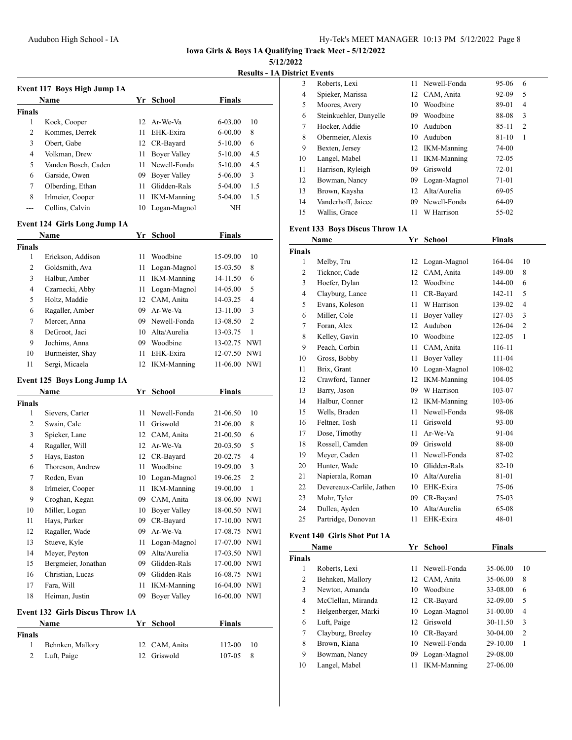**5/12/2022**

**Results - 1A District Events**

|               |                                        |    |                     |               | Kesuits - TA   |
|---------------|----------------------------------------|----|---------------------|---------------|----------------|
|               | Event 117 Boys High Jump 1A            |    |                     |               |                |
|               | Name                                   | Yr | <b>School</b>       | <b>Finals</b> |                |
| <b>Finals</b> |                                        |    |                     |               |                |
| 1             | Kock, Cooper                           | 12 | Ar-We-Va            | 6-03.00       | 10             |
| 2             | Kommes, Derrek                         | 11 | EHK-Exira           | 6-00.00       | 8              |
| 3             | Obert, Gabe                            | 12 | CR-Bayard           | 5-10.00       | 6              |
| 4             | Volkman, Drew                          | 11 | <b>Boyer Valley</b> | 5-10.00       | 4.5            |
| 5             | Vanden Bosch, Caden                    | 11 | Newell-Fonda        | 5-10.00       | 4.5            |
| 6             | Garside, Owen                          | 09 | <b>Boyer Valley</b> | 5-06.00       | 3              |
| 7             | Olberding, Ethan                       | 11 | Glidden-Rals        | 5-04.00       | 1.5            |
| 8             | Irlmeier, Cooper                       | 11 | <b>IKM-Manning</b>  | 5-04.00       | 1.5            |
|               | Collins, Calvin                        | 10 | Logan-Magnol        | NΗ            |                |
|               | Event 124 Girls Long Jump 1A           |    |                     |               |                |
|               | Name                                   | Yr | <b>School</b>       | <b>Finals</b> |                |
| <b>Finals</b> |                                        |    |                     |               |                |
| 1             | Erickson, Addison                      | 11 | Woodbine            | 15-09.00      | 10             |
| 2             | Goldsmith, Ava                         | 11 | Logan-Magnol        | 15-03.50      | 8              |
| 3             | Halbur, Amber                          | 11 | <b>IKM-Manning</b>  | 14-11.50      | 6              |
| 4             | Czarnecki, Abby                        | 11 | Logan-Magnol        | 14-05.00      | 5              |
| 5             | Holtz, Maddie                          | 12 | CAM, Anita          | 14-03.25      | $\overline{4}$ |
| 6             | Ragaller, Amber                        | 09 | Ar-We-Va            | 13-11.00      | 3              |
| 7             | Mercer, Anna                           | 09 | Newell-Fonda        | 13-08.50      | $\overline{c}$ |
| 8             | DeGroot, Jaci                          | 10 | Alta/Aurelia        | 13-03.75      | 1              |
| 9             | Jochims, Anna                          | 09 | Woodbine            | 13-02.75 NWI  |                |
| 10            | Burmeister, Shay                       | 11 | EHK-Exira           | 12-07.50 NWI  |                |
| 11            | Sergi, Micaela                         | 12 | <b>IKM-Manning</b>  | 11-06.00      | <b>NWI</b>     |
|               | Event 125 Boys Long Jump 1A            |    |                     |               |                |
|               | Name                                   | Yr | <b>School</b>       | <b>Finals</b> |                |
| <b>Finals</b> |                                        |    |                     |               |                |
| 1             | Sievers, Carter                        | 11 | Newell-Fonda        | 21-06.50      | 10             |
| 2             | Swain, Cale                            | 11 | Griswold            | 21-06.00      | 8              |
| 3             | Spieker, Lane                          |    | 12 CAM, Anita       | 21-00.50      | 6              |
| 4             | Ragaller, Will                         |    | 12 Ar-We-Va         | 20-03.50      | 5              |
| 5             | Hays, Easton                           | 12 | CR-Bayard           | 20-02.75      | 4              |
| 6             | Thoreson, Andrew                       | 11 | Woodbine            | 19-09.00      | 3              |
| 7             | Roden, Evan                            | 10 | Logan-Magnol        | 19-06.25      | 2              |
| 8             | Irlmeier, Cooper                       | 11 | IKM-Manning         | 19-00.00      | 1              |
| 9             | Croghan, Kegan                         | 09 | CAM, Anita          | 18-06.00 NWI  |                |
| 10            | Miller, Logan                          | 10 | <b>Bover Valley</b> | 18-00.50      | NWI            |
| 11            | Hays, Parker                           | 09 | CR-Bayard           | 17-10.00      | <b>NWI</b>     |
| 12            | Ragaller, Wade                         | 09 | Ar-We-Va            | 17-08.75 NWI  |                |
| 13            | Stueve, Kyle                           | 11 | Logan-Magnol        | 17-07.00 NWI  |                |
| 14            | Meyer, Peyton                          | 09 | Alta/Aurelia        | 17-03.50      | NWI            |
| 15            | Bergmeier, Jonathan                    | 09 | Glidden-Rals        | 17-00.00      | NWI            |
| 16            | Christian, Lucas                       | 09 | Glidden-Rals        | 16-08.75      | NWI            |
| 17            | Fara, Will                             | 11 | <b>IKM-Manning</b>  | 16-04.00      | NWI            |
| 18            | Heiman, Justin                         | 09 | <b>Boyer Valley</b> | 16-00.00      | NWI            |
|               | <b>Event 132 Girls Discus Throw 1A</b> |    |                     |               |                |
|               | Name                                   | Yr | School              | <b>Finals</b> |                |
| <b>Finals</b> |                                        |    |                     |               |                |
| 1             | Behnken, Mallory                       | 12 | CAM, Anita          | 112-00        | 10             |
| 2             | Luft, Paige                            | 12 | Griswold            | 107-05        | 8              |

|    | trict events           |    |                    |           |                |
|----|------------------------|----|--------------------|-----------|----------------|
| 3  | Roberts, Lexi          | 11 | Newell-Fonda       | 95-06     | 6              |
| 4  | Spieker, Marissa       |    | 12 CAM, Anita      | $92 - 09$ | 5              |
| 5  | Moores, Avery          | 10 | Woodbine           | 89-01     | 4              |
| 6  | Steinkuehler, Danyelle | 09 | Woodbine           | 88-08     | 3              |
| 7  | Hocker, Addie          | 10 | Audubon            | 85-11     | $\overline{c}$ |
| 8  | Obermeier, Alexis      | 10 | Audubon            | 81-10     | 1              |
| 9  | Bexten, Jersey         |    | 12 IKM-Manning     | 74-00     |                |
| 10 | Langel, Mabel          | 11 | <b>IKM-Manning</b> | $72 - 05$ |                |
| 11 | Harrison, Ryleigh      | 09 | Griswold           | 72-01     |                |
| 12 | Bowman, Nancy          | 09 | Logan-Magnol       | 71-01     |                |
| 13 | Brown, Kaysha          |    | 12 Alta/Aurelia    | 69-05     |                |
| 14 | Vanderhoff, Jaicee     | 09 | Newell-Fonda       | 64-09     |                |
| 15 | Wallis, Grace          | 11 | W Harrison         | 55-02     |                |

### **Event 133 Boys Discus Throw 1A**

|                | Name                      | Yr | <b>School</b>       | <b>Finals</b> |                |
|----------------|---------------------------|----|---------------------|---------------|----------------|
| <b>Finals</b>  |                           |    |                     |               |                |
| 1              | Melby, Tru                | 12 | Logan-Magnol        | 164-04        | 10             |
| 2              | Ticknor, Cade             | 12 | CAM, Anita          | 149-00        | 8              |
| 3              | Hoefer, Dylan             | 12 | Woodbine            | 144-00        | 6              |
| $\overline{4}$ | Clayburg, Lance           | 11 | CR-Bayard           | 142-11        | 5              |
| 5              | Evans, Koleson            | 11 | W Harrison          | 139-02        | 4              |
| 6              | Miller, Cole              | 11 | <b>Boyer Valley</b> | $127 - 03$    | 3              |
| 7              | Foran, Alex               | 12 | Audubon             | 126-04        | $\overline{2}$ |
| 8              | Kelley, Gavin             | 10 | Woodbine            | $122 - 05$    | 1              |
| 9              | Peach, Corbin             | 11 | CAM, Anita          | 116-11        |                |
| 10             | Gross, Bobby              | 11 | <b>Boyer Valley</b> | 111-04        |                |
| 11             | Brix, Grant               | 10 | Logan-Magnol        | 108-02        |                |
| 12             | Crawford, Tanner          | 12 | <b>IKM-Manning</b>  | 104-05        |                |
| 13             | Barry, Jason              | 09 | W Harrison          | 103-07        |                |
| 14             | Halbur, Conner            | 12 | <b>IKM-Manning</b>  | 103-06        |                |
| 15             | Wells, Braden             | 11 | Newell-Fonda        | 98-08         |                |
| 16             | Feltner, Tosh             | 11 | Griswold            | 93-00         |                |
| 17             | Dose, Timothy             | 11 | Ar-We-Va            | 91-04         |                |
| 18             | Rossell, Camden           | 09 | Griswold            | 88-00         |                |
| 19             | Meyer, Caden              | 11 | Newell-Fonda        | 87-02         |                |
| 20             | Hunter, Wade              | 10 | Glidden-Rals        | $82 - 10$     |                |
| 21             | Napierala, Roman          | 10 | Alta/Aurelia        | 81-01         |                |
| 22             | Devereaux-Carlile, Jathen | 10 | EHK-Exira           | 75-06         |                |
| 23             | Mohr, Tyler               | 09 | CR-Bayard           | 75-03         |                |
| 24             | Dullea, Ayden             | 10 | Alta/Aurelia        | 65-08         |                |
| 25             | Partridge, Donovan        | 11 | EHK-Exira           | 48-01         |                |

### **Event 140 Girls Shot Put 1A**

|               | <b>Name</b>         | Yr  | <b>School</b>      | <b>Finals</b> |    |
|---------------|---------------------|-----|--------------------|---------------|----|
| <b>Finals</b> |                     |     |                    |               |    |
| 1             | Roberts, Lexi       | 11  | Newell-Fonda       | 35-06.00      | 10 |
| 2             | Behnken, Mallory    |     | 12 CAM, Anita      | 35-06.00      | 8  |
| 3             | Newton, Amanda      | 10  | Woodbine           | 33-08.00      | 6  |
| 4             | McClellan, Miranda  |     | 12 CR-Bayard       | 32-09.00      | 5  |
| 5             | Helgenberger, Marki |     | 10 Logan-Magnol    | 31-00.00      | 4  |
| 6             | Luft, Paige         | 12  | Griswold           | 30-11.50      | 3  |
| 7             | Clayburg, Breeley   |     | 10 CR-Bayard       | $30-04.00$    | 2  |
| 8             | Brown, Kiana        | 10. | Newell-Fonda       | 29-10.00      | 1  |
| 9             | Bowman, Nancy       | 09  | Logan-Magnol       | 29-08.00      |    |
| 10            | Langel, Mabel       | 11  | <b>IKM-Manning</b> | 27-06.00      |    |
|               |                     |     |                    |               |    |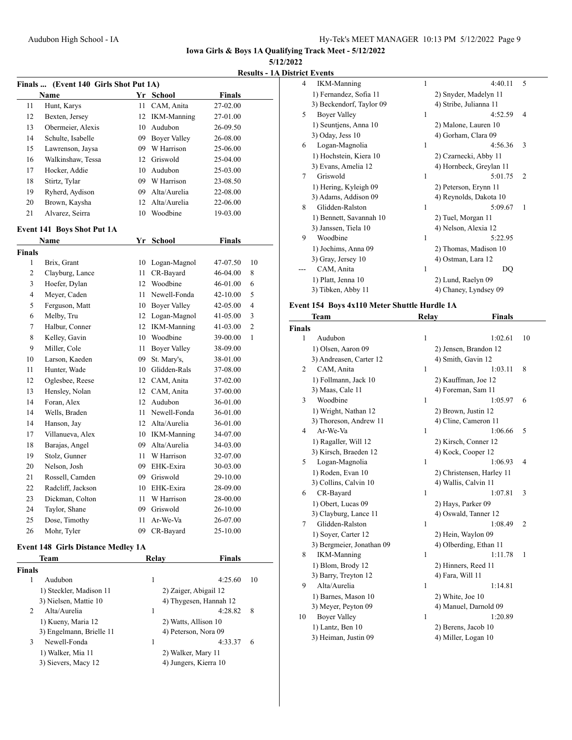**5/12/2022**

**Results - 1A Distr** 

| Finals  (Event 140 Girls Shot Put 1A) |                                           |      |                        |               |    |
|---------------------------------------|-------------------------------------------|------|------------------------|---------------|----|
|                                       | Name                                      |      | Yr School              | <b>Finals</b> |    |
| 11                                    | Hunt, Karys                               | 11 - | CAM, Anita             | 27-02.00      |    |
| 12                                    | Bexten, Jersey                            | 12   | <b>IKM-Manning</b>     | 27-01.00      |    |
| 13                                    | Obermeier, Alexis                         |      | 10 Audubon             | 26-09.50      |    |
| 14                                    | Schulte, Isabelle                         |      | 09 Boyer Valley        | 26-08.00      |    |
| 15                                    | Lawrenson, Jaysa                          |      | 09 W Harrison          | 25-06.00      |    |
| 16                                    | Walkinshaw, Tessa                         |      | 12 Griswold            | 25-04.00      |    |
| 17                                    | Hocker, Addie                             |      | 10 Audubon             | 25-03.00      |    |
| 18                                    | Stirtz, Tylar                             |      | 09 W Harrison          | 23-08.50      |    |
| 19                                    | Ryherd, Aydison                           |      | 09 Alta/Aurelia        | 22-08.00      |    |
| 20                                    | Brown, Kaysha                             |      | 12 Alta/Aurelia        | 22-06.00      |    |
| 21                                    | Alvarez, Seirra                           |      | 10 Woodbine            | 19-03.00      |    |
|                                       | <b>Event 141 Boys Shot Put 1A</b>         |      |                        |               |    |
|                                       | Name                                      |      | Yr School              | <b>Finals</b> |    |
| <b>Finals</b>                         |                                           |      |                        |               |    |
| 1                                     | Brix, Grant                               |      | 10 Logan-Magnol        | 47-07.50      | 10 |
| 2                                     | Clayburg, Lance                           | 11   | CR-Bayard              | 46-04.00      | 8  |
| 3                                     | Hoefer, Dylan                             |      | 12 Woodbine            | 46-01.00      | 6  |
| 4                                     | Meyer, Caden                              |      | 11 Newell-Fonda        | $42 - 10.00$  | 5  |
| 5                                     | Ferguson, Matt                            |      | 10 Boyer Valley        | 42-05.00      | 4  |
| 6                                     | Melby, Tru                                |      | 12 Logan-Magnol        | 41-05.00      | 3  |
| 7                                     | Halbur, Conner                            |      | 12 IKM-Manning         | 41-03.00      | 2  |
| 8                                     | Kelley, Gavin                             |      | 10 Woodbine            | 39-00.00      | 1  |
| 9                                     | Miller, Cole                              | 11   | <b>Boyer Valley</b>    | 38-09.00      |    |
| 10                                    | Larson, Kaeden                            | 09-  | St. Mary's,            | 38-01.00      |    |
| 11                                    | Hunter, Wade                              |      | 10 Glidden-Rals        | 37-08.00      |    |
| 12                                    | Oglesbee, Reese                           |      | 12 CAM, Anita          | 37-02.00      |    |
| 13                                    | Hensley, Nolan                            |      | 12 CAM, Anita          | 37-00.00      |    |
| 14                                    | Foran, Alex                               |      | 12 Audubon             | 36-01.00      |    |
| 14                                    | Wells, Braden                             |      | 11 Newell-Fonda        | 36-01.00      |    |
| 14                                    | Hanson, Jay                               |      | 12 Alta/Aurelia        | 36-01.00      |    |
| 17                                    | Villanueva, Alex                          |      | 10 IKM-Manning         | 34-07.00      |    |
| 18                                    | Barajas, Angel                            |      | 09 Alta/Aurelia        | 34-03.00      |    |
| 19                                    | Stolz, Gunner                             | 11   | W Harrison             | 32-07.00      |    |
| 20                                    | Nelson, Josh                              |      | 09 EHK-Exira           | 30-03.00      |    |
| 21                                    | Rossell, Camden                           | 09   | Griswold               | 29-10.00      |    |
| 22                                    | Radcliff, Jackson                         |      | 10 EHK-Exira           | 28-09.00      |    |
| 23                                    | Dickman, Colton                           | 11   | W Harrison             | 28-00.00      |    |
| 24                                    | Taylor, Shane                             | 09   | Griswold               | 26-10.00      |    |
| 25                                    | Dose, Timothy                             | 11   | Ar-We-Va               | 26-07.00      |    |
| 26                                    | Mohr, Tyler                               | 09   | CR-Bayard              | 25-10.00      |    |
|                                       | <b>Event 148 Girls Distance Medley 1A</b> |      |                        |               |    |
|                                       | Team                                      |      | <b>Relay</b>           | <b>Finals</b> |    |
| <b>Finals</b>                         |                                           |      |                        |               |    |
| 1                                     | Audubon                                   |      | 1                      | 4:25.60       | 10 |
|                                       | 1) Steckler, Madison 11                   |      | 2) Zaiger, Abigail 12  |               |    |
|                                       | 3) Nielsen, Mattie 10                     |      | 4) Thygesen, Hannah 12 |               |    |
| 2                                     | Alta/Aurelia                              |      | 1                      | 4:28.82       | 8  |
|                                       | 1) Kueny, Maria 12                        |      | 2) Watts, Allison 10   |               |    |

3) Engelmann, Brielle 11 4) Peterson, Nora 09 3 Newell-Fonda 1 4:33.37 6

1) Walker, Mia 11 2) Walker, Mary 11<br>3) Sievers, Macy 12 4) Jungers, Kierra 10

4) Jungers, Kierra 10

|   | ict Events               |   |                         |                |
|---|--------------------------|---|-------------------------|----------------|
| 4 | <b>IKM-Manning</b>       | 1 | 4:40.11                 | 5              |
|   | 1) Fernandez, Sofia 11   |   | 2) Snyder, Madelyn 11   |                |
|   | 3) Beckendorf, Taylor 09 |   | 4) Stribe, Julianna 11  |                |
| 5 | Boyer Valley             | 1 | 4:52.59                 | 4              |
|   | 1) Seuntjens, Anna 10    |   | 2) Malone, Lauren 10    |                |
|   | $3)$ Oday, Jess 10       |   | 4) Gorham, Clara 09     |                |
| 6 | Logan-Magnolia           | 1 | 4:56.36                 | 3              |
|   | 1) Hochstein, Kiera 10   |   | 2) Czarnecki, Abby 11   |                |
|   | 3) Evans, Amelia 12      |   | 4) Hornbeck, Greylan 11 |                |
| 7 | Griswold                 | 1 | 5:01.75                 | $\overline{c}$ |
|   | 1) Hering, Kyleigh 09    |   | 2) Peterson, Erynn 11   |                |
|   | 3) Adams, Addison 09     |   | 4) Reynolds, Dakota 10  |                |
| 8 | Glidden-Ralston          | 1 | 5:09.67                 | 1              |
|   | 1) Bennett, Savannah 10  |   | 2) Tuel, Morgan 11      |                |
|   | 3) Janssen, Tiela 10     |   | 4) Nelson, Alexia 12    |                |
| 9 | Woodbine                 | 1 | 5:22.95                 |                |
|   | 1) Jochims, Anna 09      |   | 2) Thomas, Madison 10   |                |
|   | 3) Gray, Jersey 10       |   | 4) Ostman, Lara 12      |                |
|   | CAM, Anita               | 1 | DQ                      |                |
|   | 1) Platt, Jenna 10       |   | 2) Lund, Raelyn 09      |                |
|   | 3) Tibken, Abby 11       |   | 4) Chaney, Lyndsey 09   |                |

### **Event 154 Boys 4x110 Meter Shuttle Hurdle 1A**

|                | Team                      | Relay        | <b>Finals</b>             |                |
|----------------|---------------------------|--------------|---------------------------|----------------|
| <b>Finals</b>  |                           |              |                           |                |
| 1              | Audubon                   | 1            | 1:02.61                   | 10             |
|                | 1) Olsen, Aaron 09        |              | 2) Jensen, Brandon 12     |                |
|                | 3) Andreasen, Carter 12   |              | 4) Smith, Gavin 12        |                |
| $\overline{2}$ | CAM, Anita                | $\mathbf{1}$ | 1:03.11                   | 8              |
|                | 1) Follmann, Jack 10      |              | 2) Kauffman, Joe 12       |                |
|                | 3) Maas, Cale 11          |              | 4) Foreman, Sam 11        |                |
| 3              | Woodbine                  | $\mathbf{1}$ | 1:05.97                   | 6              |
|                | 1) Wright, Nathan 12      |              | 2) Brown, Justin 12       |                |
|                | 3) Thoreson, Andrew 11    |              | 4) Cline, Cameron 11      |                |
| $\overline{4}$ | Ar-We-Va                  | $\mathbf{1}$ | 1:06.66                   | 5              |
|                | 1) Ragaller, Will 12      |              | 2) Kirsch, Conner 12      |                |
|                | 3) Kirsch, Braeden 12     |              | 4) Kock, Cooper 12        |                |
| 5              | Logan-Magnolia            | 1            | 1:06.93                   | 4              |
|                | 1) Roden, Evan 10         |              | 2) Christensen, Harley 11 |                |
|                | 3) Collins, Calvin 10     |              | 4) Wallis, Calvin 11      |                |
| 6              | CR-Bayard                 | $\mathbf{1}$ | 1:07.81                   | 3              |
|                | 1) Obert, Lucas 09        |              | 2) Hays, Parker 09        |                |
|                | 3) Clayburg, Lance 11     |              | 4) Oswald, Tanner 12      |                |
| 7              | Glidden-Ralston           | 1            | 1:08.49                   | $\overline{c}$ |
|                | 1) Soyer, Carter 12       |              | 2) Hein, Waylon 09        |                |
|                | 3) Bergmeier, Jonathan 09 |              | 4) Olberding, Ethan 11    |                |
| 8              | <b>IKM-Manning</b>        | 1            | 1:11.78                   | 1              |
|                | 1) Blom, Brody 12         |              | 2) Hinners, Reed 11       |                |
|                | 3) Barry, Treyton 12      |              | 4) Fara, Will 11          |                |
| 9              | Alta/Aurelia              | 1            | 1:14.81                   |                |
|                | 1) Barnes, Mason 10       |              | 2) White, Joe 10          |                |
|                | 3) Meyer, Peyton 09       |              | 4) Manuel, Darnold 09     |                |
| 10             | <b>Boyer Valley</b>       | 1            | 1:20.89                   |                |
|                | 1) Lantz, Ben 10          |              | 2) Berens, Jacob 10       |                |
|                | 3) Heiman, Justin 09      |              | 4) Miller, Logan 10       |                |